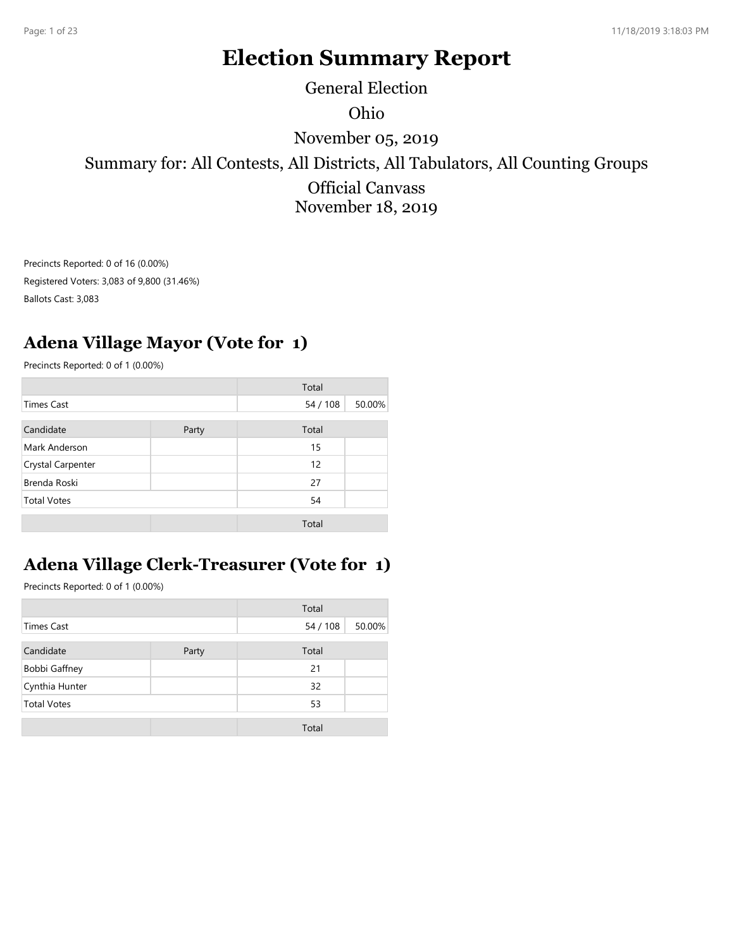# Election Summary Report

Ohio November 05, 2019 General Election

Summary for: All Contests, All Districts, All Tabulators, All Counting Groups Official Canvass November 18, 2019

#### Adena Village Mayor (Vote for 1)

| Precincts Reported: 0 of 16 (0.00%)<br>Registered Voters: 3,083 of 9,800 (31.46%)<br>Ballots Cast: 3,083<br>Precincts Reported: 0 of 1 (0.00%)<br><b>Times Cast</b><br>Candidate | <b>Adena Village Mayor (Vote for 1)</b>           | Total    |        |
|----------------------------------------------------------------------------------------------------------------------------------------------------------------------------------|---------------------------------------------------|----------|--------|
|                                                                                                                                                                                  |                                                   |          |        |
|                                                                                                                                                                                  |                                                   |          |        |
|                                                                                                                                                                                  |                                                   |          |        |
|                                                                                                                                                                                  |                                                   |          |        |
|                                                                                                                                                                                  |                                                   |          |        |
|                                                                                                                                                                                  |                                                   |          |        |
|                                                                                                                                                                                  |                                                   |          |        |
|                                                                                                                                                                                  |                                                   | 54 / 108 | 50.00% |
|                                                                                                                                                                                  | Party                                             | Total    |        |
| Mark Anderson                                                                                                                                                                    |                                                   | 15       |        |
| Crystal Carpenter                                                                                                                                                                |                                                   | 12       |        |
| Brenda Roski                                                                                                                                                                     |                                                   | 27       |        |
| <b>Total Votes</b>                                                                                                                                                               |                                                   | 54       |        |
|                                                                                                                                                                                  |                                                   | Total    |        |
|                                                                                                                                                                                  |                                                   |          |        |
|                                                                                                                                                                                  | <b>Adena Village Clerk-Treasurer (Vote for 1)</b> |          |        |
| Precincts Reported: 0 of 1 (0.00%)                                                                                                                                               |                                                   |          |        |
|                                                                                                                                                                                  |                                                   |          |        |
|                                                                                                                                                                                  |                                                   | Total    |        |
| <b>Times Cast</b>                                                                                                                                                                |                                                   | 54 / 108 | 50.00% |
| Candidate                                                                                                                                                                        | Party                                             | Total    |        |
| <b>Bobbi Gaffney</b>                                                                                                                                                             |                                                   | 21       |        |
| Cynthia Hunter                                                                                                                                                                   |                                                   | 32       |        |
| <b>Total Votes</b>                                                                                                                                                               |                                                   | 53       |        |
|                                                                                                                                                                                  |                                                   | Total    |        |
|                                                                                                                                                                                  |                                                   |          |        |

## Adena Village Clerk-Treasurer (Vote for 1)

|                      |       | Total    |        |
|----------------------|-------|----------|--------|
| <b>Times Cast</b>    |       | 54 / 108 | 50.00% |
| Candidate            | Party | Total    |        |
| <b>Bobbi Gaffney</b> |       | 21       |        |
| Cynthia Hunter       |       | 32       |        |
| <b>Total Votes</b>   |       | 53       |        |
|                      |       | Total    |        |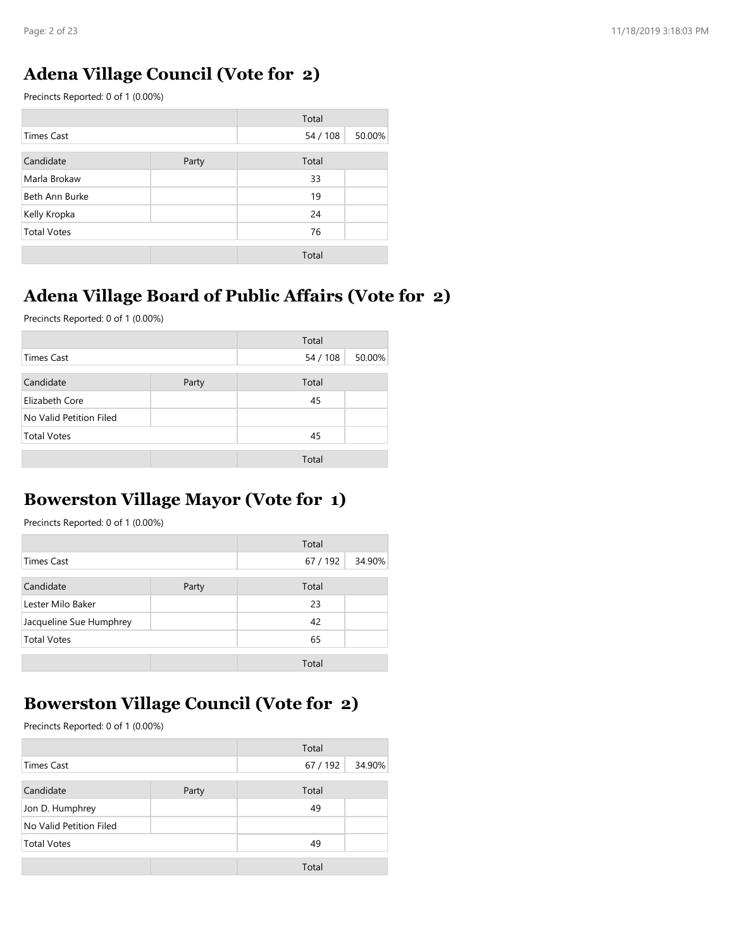#### Adena Village Council (Vote for 2)

| Page: 2 of 23                                             |       |          |        |
|-----------------------------------------------------------|-------|----------|--------|
|                                                           |       |          |        |
| <b>Adena Village Council (Vote for 2)</b>                 |       |          |        |
| Precincts Reported: 0 of 1 (0.00%)                        |       |          |        |
|                                                           |       | Total    |        |
| <b>Times Cast</b>                                         |       | 54 / 108 | 50.00% |
| Candidate                                                 | Party | Total    |        |
| Marla Brokaw                                              |       | 33       |        |
| Beth Ann Burke                                            |       | 19       |        |
| Kelly Kropka                                              |       | 24       |        |
| <b>Total Votes</b>                                        |       | 76       |        |
|                                                           |       | Total    |        |
|                                                           |       |          |        |
|                                                           |       |          |        |
|                                                           |       |          |        |
| <b>Adena Village Board of Public Affairs (Vote for 2)</b> |       |          |        |
| Precincts Reported: 0 of 1 (0.00%)                        |       |          |        |
|                                                           |       | Total    |        |
| <b>Times Cast</b>                                         |       | 54 / 108 | 50.00% |
| Candidate                                                 | Party | Total    |        |
| Elizabeth Core                                            |       | 45       |        |
| No Valid Petition Filed                                   |       |          |        |
| <b>Total Votes</b>                                        |       | 45       |        |

## Adena Village Board of Public Affairs (Vote for 2)

|                                             |       | Total    |        |
|---------------------------------------------|-------|----------|--------|
| <b>Times Cast</b>                           |       | 54 / 108 | 50.00% |
| Candidate                                   | Party | Total    |        |
| Elizabeth Core                              |       | 45       |        |
| No Valid Petition Filed                     |       |          |        |
| <b>Total Votes</b>                          |       | 45       |        |
|                                             |       | Total    |        |
|                                             |       |          |        |
|                                             |       |          |        |
|                                             |       |          |        |
| <b>Bowerston Village Mayor (Vote for 1)</b> |       |          |        |
| Precincts Reported: 0 of 1 (0.00%)          |       |          |        |
|                                             |       | Total    |        |
| <b>Times Cast</b>                           |       | 67 / 192 | 34.90% |
| Candidate                                   | Party | Total    |        |
| Lester Milo Baker                           |       | 23       |        |
| Jacqueline Sue Humphrey                     |       | 42       |        |
| <b>Total Votes</b>                          |       | 65       |        |
|                                             |       | Total    |        |

## Bowerston Village Mayor (Vote for 1)

|                         |       | Total    |        |
|-------------------------|-------|----------|--------|
| <b>Times Cast</b>       |       | 67 / 192 | 34.90% |
| Candidate               | Party | Total    |        |
| Lester Milo Baker       |       | 23       |        |
| Jacqueline Sue Humphrey |       | 42       |        |
| <b>Total Votes</b>      |       | 65       |        |
|                         |       | Total    |        |

#### Bowerston Village Council (Vote for 2)

|                                               |       | Total    |        |
|-----------------------------------------------|-------|----------|--------|
| <b>Times Cast</b>                             |       | 67 / 192 | 34.90% |
| Candidate                                     | Party | Total    |        |
| Lester Milo Baker                             |       | 23       |        |
| Jacqueline Sue Humphrey                       |       | 42       |        |
| <b>Total Votes</b>                            |       | 65       |        |
|                                               |       | Total    |        |
|                                               |       |          |        |
| <b>Bowerston Village Council (Vote for 2)</b> |       |          |        |
| Precincts Reported: 0 of 1 (0.00%)            |       |          |        |
|                                               |       | Total    |        |
| <b>Times Cast</b>                             |       | 67 / 192 | 34.90% |
| Candidate                                     | Party | Total    |        |
| Jon D. Humphrey                               |       | 49       |        |
| No Valid Petition Filed                       |       |          |        |
| <b>Total Votes</b>                            |       | 49       |        |
|                                               |       | Total    |        |
|                                               |       |          |        |
|                                               |       |          |        |
|                                               |       |          |        |
|                                               |       |          |        |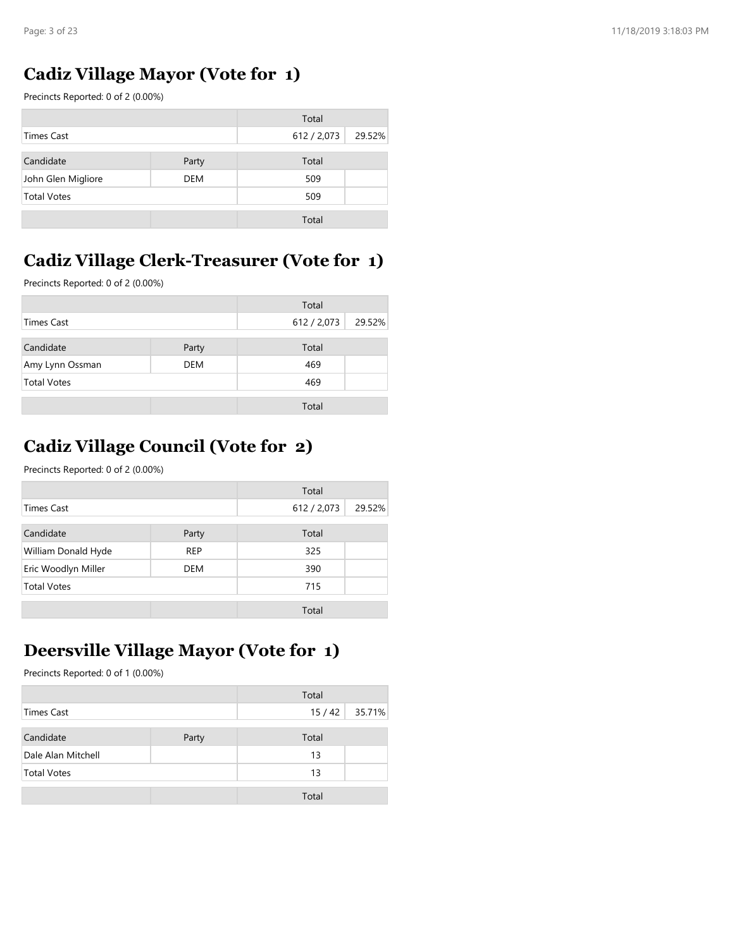#### Cadiz Village Mayor (Vote for 1)

| Page: 3 of 23                                                                 |            |             |        |
|-------------------------------------------------------------------------------|------------|-------------|--------|
|                                                                               |            |             |        |
| <b>Cadiz Village Mayor (Vote for 1)</b><br>Precincts Reported: 0 of 2 (0.00%) |            |             |        |
|                                                                               |            | Total       |        |
| <b>Times Cast</b>                                                             |            | 612 / 2,073 | 29.52% |
| Candidate                                                                     | Party      | Total       |        |
| John Glen Migliore                                                            | <b>DEM</b> | 509         |        |
| <b>Total Votes</b>                                                            |            | 509         |        |
|                                                                               |            | Total       |        |
|                                                                               |            |             |        |
|                                                                               |            |             |        |
| <b>Cadiz Village Clerk-Treasurer (Vote for 1)</b>                             |            |             |        |
| Precincts Reported: 0 of 2 (0.00%)                                            |            |             |        |
|                                                                               |            | Total       |        |
| <b>Times Cast</b>                                                             |            | 612 / 2,073 | 29.52% |
| Candidate                                                                     | Party      | Total       |        |
| Amy Lynn Ossman                                                               | <b>DEM</b> | 469         |        |
| <b>Total Votes</b>                                                            |            | 469         |        |

## Cadiz Village Clerk-Treasurer (Vote for 1)

|                    |       | Total       |        |
|--------------------|-------|-------------|--------|
| <b>Times Cast</b>  |       | 612 / 2,073 | 29.52% |
| Candidate          | Party | Total       |        |
| Amy Lynn Ossman    | DEM   | 469         |        |
| <b>Total Votes</b> |       | 469         |        |
|                    |       | Total       |        |

## Cadiz Village Council (Vote for 2)

| Precincts Reported: 0 of 2 (0.00%)                                              |            |             |        |
|---------------------------------------------------------------------------------|------------|-------------|--------|
|                                                                                 |            | Total       |        |
| <b>Times Cast</b>                                                               |            | 612 / 2,073 | 29.52% |
| Candidate                                                                       | Party      | Total       |        |
| Amy Lynn Ossman                                                                 | <b>DEM</b> | 469         |        |
| <b>Total Votes</b>                                                              |            | 469         |        |
|                                                                                 |            | Total       |        |
| <b>Cadiz Village Council (Vote for 2)</b><br>Precincts Reported: 0 of 2 (0.00%) |            |             |        |
|                                                                                 |            | Total       |        |
| <b>Times Cast</b>                                                               |            | 612 / 2,073 | 29.52% |
| Candidate                                                                       | Party      | Total       |        |
| William Donald Hyde                                                             | <b>REP</b> | 325         |        |
| Eric Woodlyn Miller                                                             | DEM        | 390         |        |
| <b>Total Votes</b>                                                              |            | 715         |        |
|                                                                                 |            | Total       |        |
|                                                                                 |            |             |        |
| <b>Deersville Village Mayor (Vote for 1)</b>                                    |            |             |        |
| Precincts Reported: 0 of 1 (0.00%)                                              |            |             |        |
|                                                                                 |            | Total       |        |
| <b>Times Cast</b>                                                               |            | 15/42       | 35.71% |
| Candidate                                                                       | Party      | Total       |        |
| Dale Alan Mitchell                                                              |            | 13          |        |
| <b>Total Votes</b>                                                              |            | 13          |        |
|                                                                                 |            |             |        |
|                                                                                 |            | Total       |        |

#### Deersville Village Mayor (Vote for 1)

|                    |       | Total           |  |
|--------------------|-------|-----------------|--|
| <b>Times Cast</b>  |       | 15/42<br>35.71% |  |
| Candidate          | Party | Total           |  |
| Dale Alan Mitchell |       | 13              |  |
| <b>Total Votes</b> |       | 13              |  |
|                    |       | Total           |  |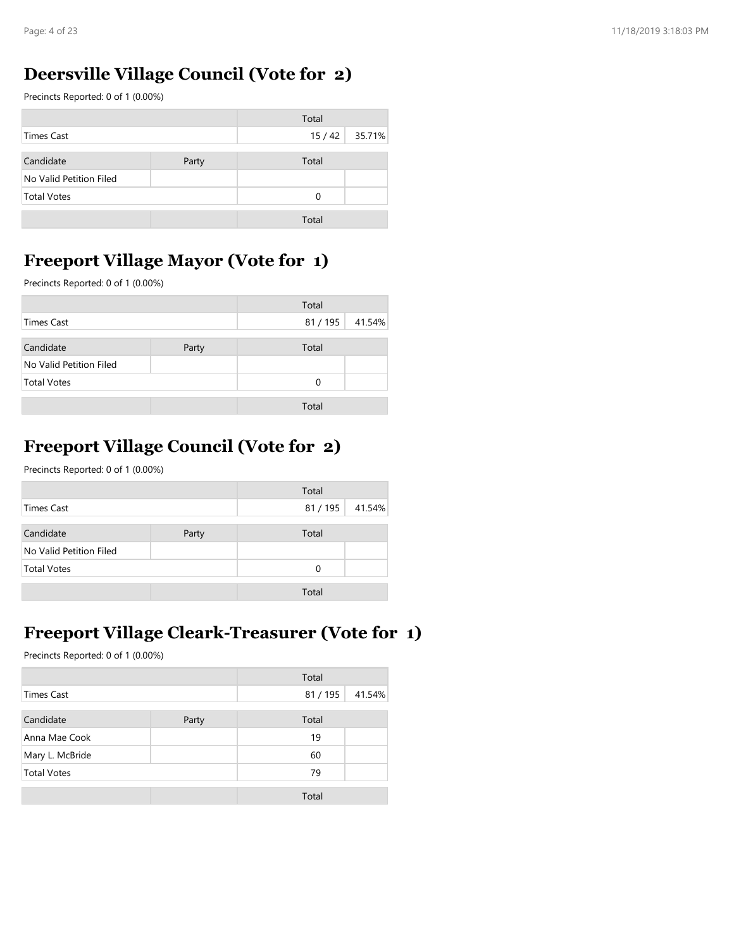## Deersville Village Council (Vote for 2)

| Page: 4 of 23                                  |       |                     |        |
|------------------------------------------------|-------|---------------------|--------|
| <b>Deersville Village Council (Vote for 2)</b> |       |                     |        |
| Precincts Reported: 0 of 1 (0.00%)             |       |                     |        |
|                                                |       | Total               |        |
| <b>Times Cast</b>                              |       | 15/42               | 35.71% |
| Candidate                                      | Party | Total               |        |
| No Valid Petition Filed                        |       |                     |        |
| <b>Total Votes</b>                             |       | $\mathsf{O}\xspace$ |        |
|                                                |       | Total               |        |
|                                                |       |                     |        |
| <b>Freeport Village Mayor (Vote for 1)</b>     |       |                     |        |
| Precincts Reported: 0 of 1 (0.00%)             |       |                     |        |
|                                                |       | Total               |        |
|                                                |       |                     |        |
| <b>Times Cast</b>                              |       | 81 / 195            | 41.54% |
| Candidate                                      | Party | Total               |        |
| No Valid Petition Filed                        |       |                     |        |
| <b>Total Votes</b>                             |       | $\mathbf 0$         |        |

#### Freeport Village Mayor (Vote for 1)

|                         |       | Total    |        |
|-------------------------|-------|----------|--------|
| Times Cast              |       | 81 / 195 | 41.54% |
| Candidate               | Party | Total    |        |
| No Valid Petition Filed |       |          |        |
| <b>Total Votes</b>      |       | 0        |        |
|                         |       | Total    |        |

## Freeport Village Council (Vote for 2)

|                                                                                    |       | Total       |        |
|------------------------------------------------------------------------------------|-------|-------------|--------|
| <b>Times Cast</b>                                                                  |       | 81 / 195    | 41.54% |
| Candidate                                                                          | Party | Total       |        |
| No Valid Petition Filed                                                            |       |             |        |
| <b>Total Votes</b>                                                                 |       | $\mathbf 0$ |        |
|                                                                                    |       |             |        |
|                                                                                    |       | Total       |        |
| <b>Freeport Village Council (Vote for 2)</b><br>Precincts Reported: 0 of 1 (0.00%) |       | Total       |        |
| <b>Times Cast</b>                                                                  |       | 81/195      | 41.54% |
| Candidate                                                                          | Party | Total       |        |
| No Valid Petition Filed                                                            |       |             |        |
| <b>Total Votes</b>                                                                 |       | 0           |        |

### Freeport Village Cleark-Treasurer (Vote for 1)

| Precincts Reported: 0 of 1 (0.00%)                                                                               |       |                   |        |
|------------------------------------------------------------------------------------------------------------------|-------|-------------------|--------|
|                                                                                                                  |       | Total             |        |
| <b>Times Cast</b>                                                                                                |       | 81 / 195          | 41.54% |
| Candidate                                                                                                        | Party | Total             |        |
| No Valid Petition Filed                                                                                          |       |                   |        |
| <b>Total Votes</b>                                                                                               |       | $\mathbf 0$       |        |
|                                                                                                                  |       | Total             |        |
| <b>Freeport Village Cleark-Treasurer (Vote for 1)</b><br>Precincts Reported: 0 of 1 (0.00%)<br><b>Times Cast</b> |       | Total<br>81 / 195 | 41.54% |
| Candidate                                                                                                        | Party | Total             |        |
| Anna Mae Cook                                                                                                    |       | 19                |        |
| Mary L. McBride                                                                                                  |       | 60                |        |
| <b>Total Votes</b>                                                                                               |       | 79                |        |
|                                                                                                                  |       | Total             |        |
|                                                                                                                  |       |                   |        |
|                                                                                                                  |       |                   |        |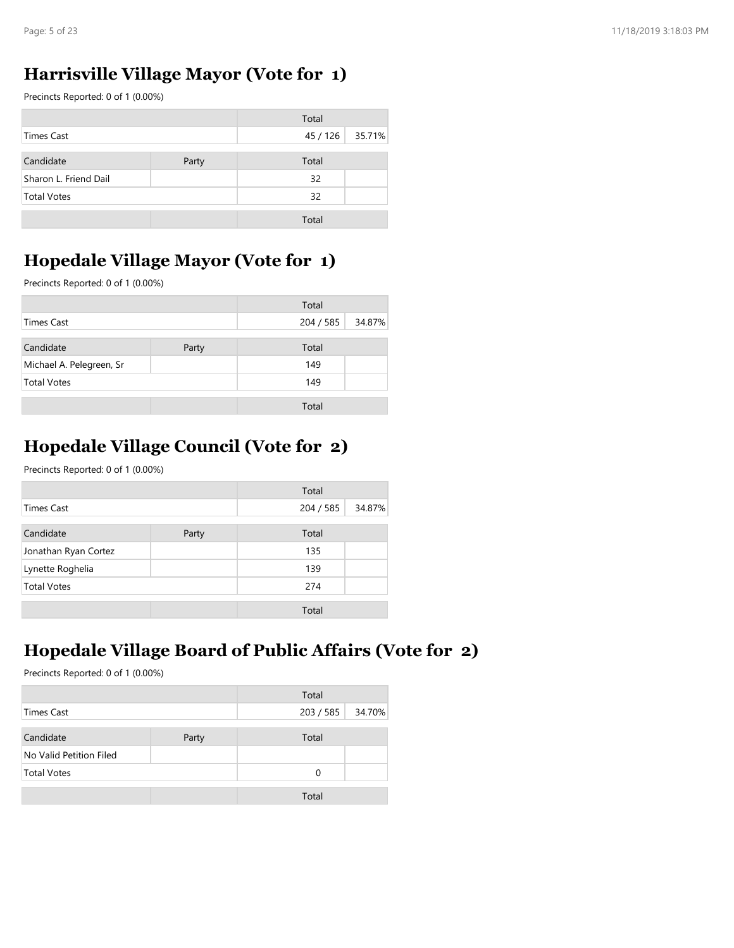### Harrisville Village Mayor (Vote for 1)

| Page: 5 of 23                              |       |           |        |
|--------------------------------------------|-------|-----------|--------|
|                                            |       |           |        |
| Harrisville Village Mayor (Vote for 1)     |       |           |        |
| Precincts Reported: 0 of 1 (0.00%)         |       |           |        |
|                                            |       | Total     |        |
| <b>Times Cast</b>                          |       | 45 / 126  | 35.71% |
| Candidate                                  | Party | Total     |        |
| Sharon L. Friend Dail                      |       | 32        |        |
| <b>Total Votes</b>                         |       | 32        |        |
|                                            |       | Total     |        |
|                                            |       |           |        |
| <b>Hopedale Village Mayor (Vote for 1)</b> |       |           |        |
|                                            |       |           |        |
| Precincts Reported: 0 of 1 (0.00%)         |       |           |        |
|                                            |       | Total     |        |
|                                            |       | 204 / 585 | 34.87% |
| <b>Times Cast</b>                          |       |           |        |
| Candidate                                  | Party | Total     |        |
| Michael A. Pelegreen, Sr                   |       | 149       |        |
| <b>Total Votes</b>                         |       | 149       |        |

#### Hopedale Village Mayor (Vote for 1)

|                          |       | Total     |        |
|--------------------------|-------|-----------|--------|
| <b>Times Cast</b>        |       | 204 / 585 | 34.87% |
| Candidate                | Party | Total     |        |
| Michael A. Pelegreen, Sr |       | 149       |        |
| <b>Total Votes</b>       |       | 149       |        |
|                          |       | Total     |        |

## Hopedale Village Council (Vote for 2)

| Precincts Reported: 0 of 1 (0.00%)                                                          |       |                    |        |
|---------------------------------------------------------------------------------------------|-------|--------------------|--------|
|                                                                                             |       | Total              |        |
| <b>Times Cast</b>                                                                           |       | 204 / 585          | 34.87% |
| Candidate                                                                                   | Party | Total              |        |
| Michael A. Pelegreen, Sr                                                                    |       | 149                |        |
| <b>Total Votes</b>                                                                          |       | 149                |        |
|                                                                                             |       | Total              |        |
| <b>Hopedale Village Council (Vote for 2)</b><br>Precincts Reported: 0 of 1 (0.00%)          |       | Total              |        |
| <b>Times Cast</b>                                                                           |       | 204 / 585          | 34.87% |
|                                                                                             |       |                    |        |
| Candidate                                                                                   | Party | Total              |        |
| Jonathan Ryan Cortez                                                                        |       | 135                |        |
| Lynette Roghelia                                                                            |       | 139                |        |
| <b>Total Votes</b>                                                                          |       | 274                |        |
|                                                                                             |       | Total              |        |
| Hopedale Village Board of Public Affairs (Vote for 2)<br>Precincts Reported: 0 of 1 (0.00%) |       |                    |        |
|                                                                                             |       |                    |        |
|                                                                                             |       | Total              |        |
| <b>Times Cast</b>                                                                           |       | 203 / 585          | 34.70% |
| Candidate                                                                                   | Party | Total              |        |
| No Valid Petition Filed                                                                     |       |                    |        |
| <b>Total Votes</b>                                                                          |       | $\pmb{0}$<br>Total |        |

## Hopedale Village Board of Public Affairs (Vote for 2)

|                         |       | Total     |        |
|-------------------------|-------|-----------|--------|
| <b>Times Cast</b>       |       | 203 / 585 | 34.70% |
| Candidate               | Party | Total     |        |
| No Valid Petition Filed |       |           |        |
| <b>Total Votes</b>      |       | $\Omega$  |        |
|                         |       | Total     |        |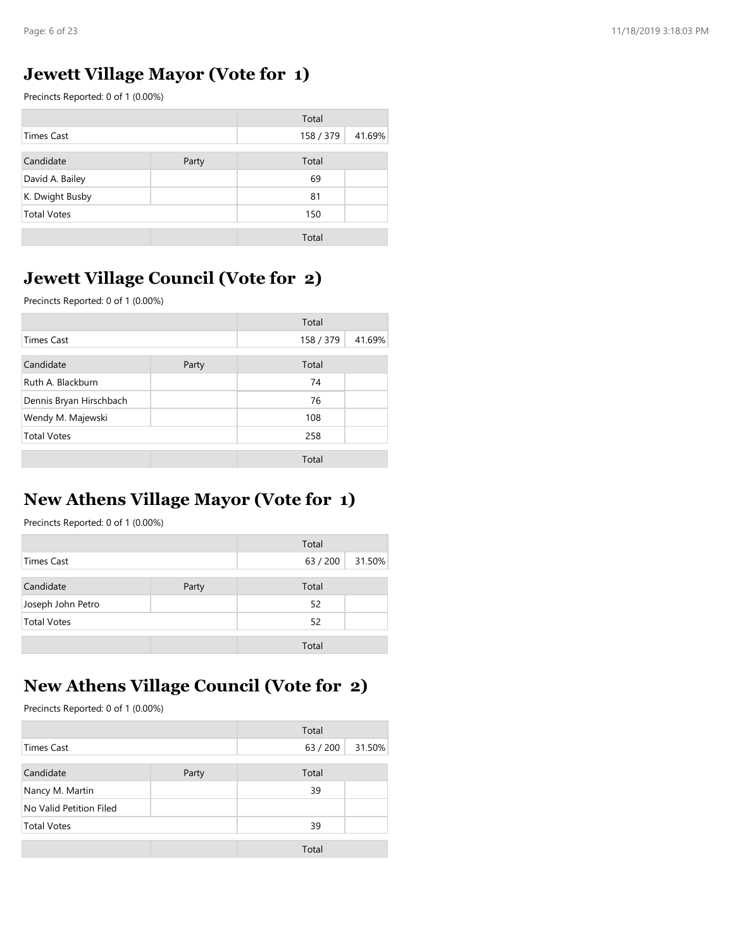#### Jewett Village Mayor (Vote for 1)

| Page: 6 of 23                              |       |           |        |
|--------------------------------------------|-------|-----------|--------|
|                                            |       |           |        |
| <b>Jewett Village Mayor (Vote for 1)</b>   |       |           |        |
| Precincts Reported: 0 of 1 (0.00%)         |       |           |        |
|                                            |       |           |        |
| <b>Times Cast</b>                          |       | Total     | 41.69% |
|                                            |       | 158 / 379 |        |
| Candidate                                  | Party | Total     |        |
| David A. Bailey                            |       | 69        |        |
| K. Dwight Busby                            |       | 81        |        |
| <b>Total Votes</b>                         |       | 150       |        |
|                                            |       | Total     |        |
|                                            |       |           |        |
| <b>Jewett Village Council (Vote for 2)</b> |       |           |        |

#### Jewett Village Council (Vote for 2)

| <b>Times Cast</b>                              |       | 158 / 379 | 41.69% |
|------------------------------------------------|-------|-----------|--------|
| Candidate                                      | Party | Total     |        |
| David A. Bailey                                |       | 69        |        |
| K. Dwight Busby                                |       | 81        |        |
| <b>Total Votes</b>                             |       | 150       |        |
|                                                |       | Total     |        |
|                                                |       |           |        |
| <b>Jewett Village Council (Vote for 2)</b>     |       |           |        |
| Precincts Reported: 0 of 1 (0.00%)             |       |           |        |
|                                                |       | Total     |        |
| <b>Times Cast</b>                              |       | 158 / 379 | 41.69% |
|                                                |       |           |        |
| Candidate                                      | Party | Total     |        |
| Ruth A. Blackburn                              |       | 74        |        |
| Dennis Bryan Hirschbach                        |       | 76        |        |
| Wendy M. Majewski                              |       | 108       |        |
| <b>Total Votes</b>                             |       | 258       |        |
|                                                |       | Total     |        |
|                                                |       |           |        |
| <b>New Athens Village Mayor (Vote for 1)</b>   |       |           |        |
| Precincts Reported: 0 of 1 (0.00%)             |       |           |        |
|                                                |       | Total     |        |
| <b>Times Cast</b>                              |       | 63 / 200  | 31.50% |
|                                                |       |           |        |
| Candidate                                      | Party | Total     |        |
| Joseph John Petro                              |       | 52        |        |
| <b>Total Votes</b>                             |       | 52        |        |
|                                                |       | Total     |        |
|                                                |       |           |        |
|                                                |       |           |        |
| <b>New Athens Village Council (Vote for 2)</b> |       |           |        |

#### New Athens Village Mayor (Vote for 1)

|                    |       | Total    |        |
|--------------------|-------|----------|--------|
| <b>Times Cast</b>  |       | 63 / 200 | 31.50% |
| Candidate          | Party | Total    |        |
| Joseph John Petro  |       | 52       |        |
| <b>Total Votes</b> |       | 52       |        |
|                    |       | Total    |        |

## New Athens Village Council (Vote for 2)

| Precincts Reported: 0 of 1 (0.00%)                      |       |                   |        |
|---------------------------------------------------------|-------|-------------------|--------|
|                                                         |       | Total             |        |
| <b>Times Cast</b>                                       |       | 63 / 200          | 31.50% |
| Candidate                                               | Party | Total             |        |
| Joseph John Petro                                       |       | 52                |        |
| <b>Total Votes</b>                                      |       | 52                |        |
|                                                         |       | Total             |        |
|                                                         |       |                   |        |
| Precincts Reported: 0 of 1 (0.00%)<br><b>Times Cast</b> |       | Total<br>63 / 200 | 31.50% |
| Candidate                                               | Party | Total             |        |
| Nancy M. Martin                                         |       | 39                |        |
| No Valid Petition Filed                                 |       |                   |        |
| <b>Total Votes</b>                                      |       | 39                |        |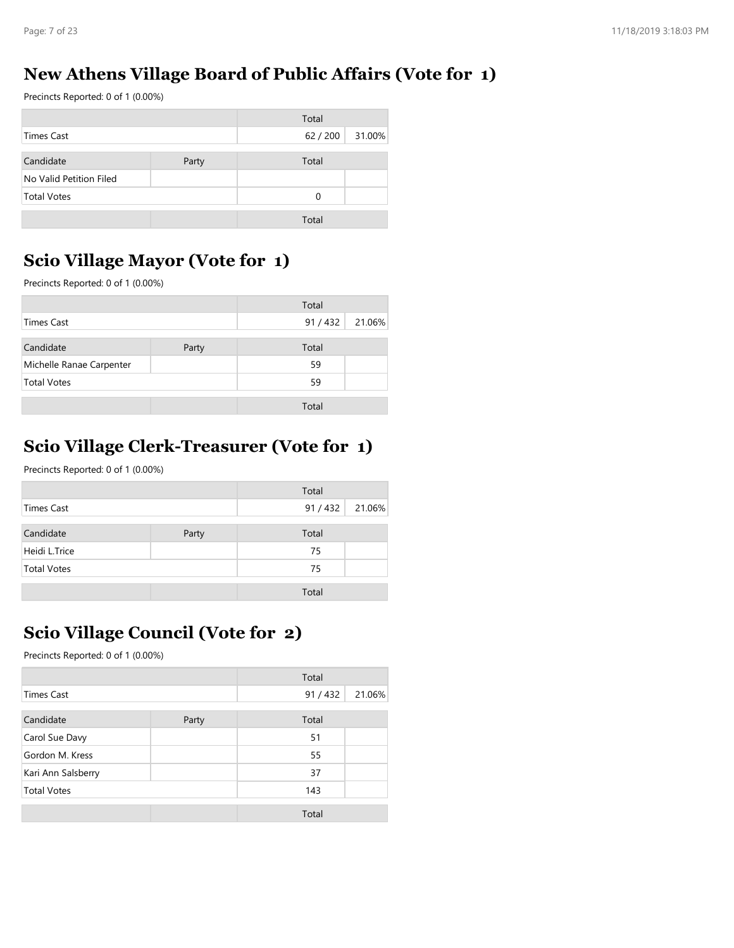## New Athens Village Board of Public Affairs (Vote for 1)

| Page: 7 of 23                                                                                                         |       |        |                                                                | 11/18/2019 3:18:03 PM |
|-----------------------------------------------------------------------------------------------------------------------|-------|--------|----------------------------------------------------------------|-----------------------|
|                                                                                                                       |       |        |                                                                |                       |
|                                                                                                                       |       |        |                                                                |                       |
|                                                                                                                       |       |        | <b>New Athens Village Board of Public Affairs (Vote for 1)</b> |                       |
|                                                                                                                       |       | Total  |                                                                |                       |
|                                                                                                                       |       | 62/200 | 31.00%                                                         |                       |
|                                                                                                                       | Party | Total  |                                                                |                       |
|                                                                                                                       |       |        |                                                                |                       |
| Precincts Reported: 0 of 1 (0.00%)<br><b>Times Cast</b><br>Candidate<br>No Valid Petition Filed<br><b>Total Votes</b> |       | 0      |                                                                |                       |

## Scio Village Mayor (Vote for 1)

|                                                                                        |       | Total       |        |
|----------------------------------------------------------------------------------------|-------|-------------|--------|
| <b>Times Cast</b>                                                                      |       | 62 / 200    | 31.00% |
|                                                                                        |       |             |        |
| Candidate                                                                              | Party | Total       |        |
| No Valid Petition Filed                                                                |       |             |        |
| <b>Total Votes</b>                                                                     |       | $\mathbf 0$ |        |
|                                                                                        |       | Total       |        |
| <b>Scio Village Mayor (Vote for 1)</b><br>Precincts Reported: 0 of 1 (0.00%)           |       |             |        |
|                                                                                        |       | Total       |        |
| <b>Times Cast</b>                                                                      |       | 91 / 432    | 21.06% |
| Candidate                                                                              | Party | Total       |        |
| Michelle Ranae Carpenter                                                               |       | 59          |        |
| <b>Total Votes</b>                                                                     |       | 59          |        |
|                                                                                        |       | Total       |        |
|                                                                                        |       |             |        |
| <b>Scio Village Clerk-Treasurer (Vote for 1)</b><br>Precincts Reported: 0 of 1 (0.00%) |       |             |        |
|                                                                                        |       | Total       |        |
| <b>Times Cast</b>                                                                      |       | 91 / 432    | 21.06% |
| Candidate                                                                              | Party | Total       |        |
| Heidi L.Trice                                                                          |       | 75          |        |
| <b>Total Votes</b>                                                                     |       | 75          |        |

## Scio Village Clerk-Treasurer (Vote for 1)

|                    |       | Total  |        |
|--------------------|-------|--------|--------|
| <b>Times Cast</b>  |       | 91/432 | 21.06% |
| Candidate          | Party | Total  |        |
| Heidi L.Trice      |       | 75     |        |
| <b>Total Votes</b> |       | 75     |        |
|                    |       | Total  |        |

## Scio Village Council (Vote for 2)

|                                    | Total    |                                                                     |
|------------------------------------|----------|---------------------------------------------------------------------|
|                                    | 91 / 432 | 21.06%                                                              |
|                                    |          |                                                                     |
|                                    | 75       |                                                                     |
|                                    | 75       |                                                                     |
|                                    |          |                                                                     |
|                                    |          |                                                                     |
| Precincts Reported: 0 of 1 (0.00%) |          |                                                                     |
|                                    |          |                                                                     |
|                                    | 91 / 432 | 21.06%                                                              |
| Party                              | Total    |                                                                     |
|                                    | 51       |                                                                     |
|                                    | 55       |                                                                     |
|                                    | 37       |                                                                     |
|                                    | 143      |                                                                     |
|                                    |          |                                                                     |
|                                    |          |                                                                     |
|                                    | Total    |                                                                     |
|                                    | Party    | Total<br>Total<br><b>Scio Village Council (Vote for 2)</b><br>Total |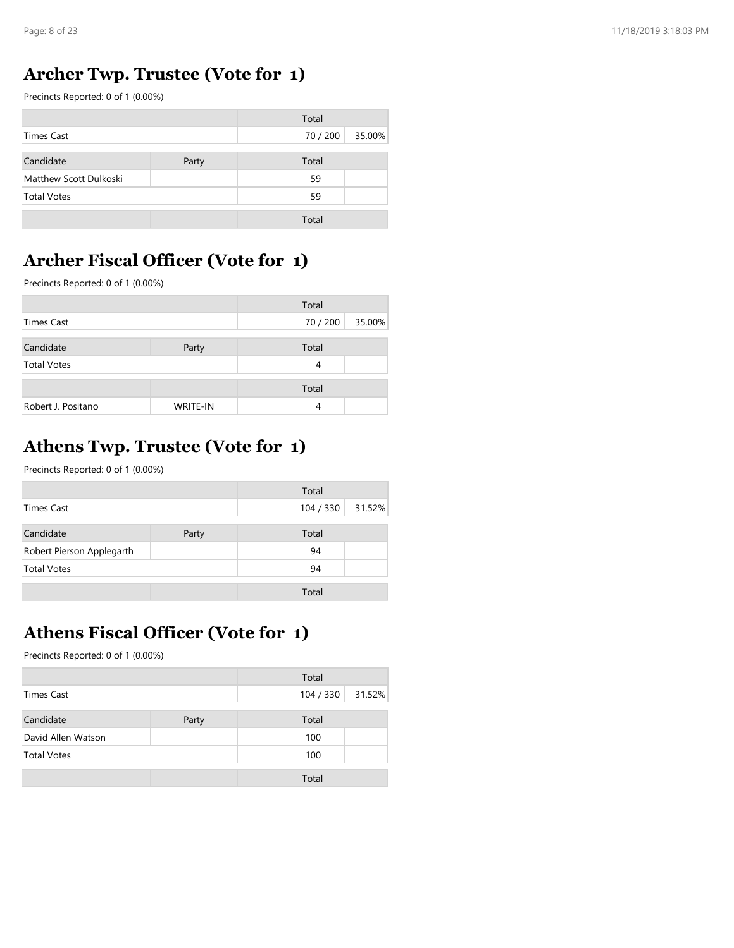#### Archer Twp. Trustee (Vote for 1)

| Page: 8 of 23                                                                 |       |          |        | 11/18/2019 3:18:03 PI |
|-------------------------------------------------------------------------------|-------|----------|--------|-----------------------|
|                                                                               |       |          |        |                       |
|                                                                               |       |          |        |                       |
|                                                                               |       |          |        |                       |
| <b>Archer Twp. Trustee (Vote for 1)</b><br>Precincts Reported: 0 of 1 (0.00%) |       |          |        |                       |
|                                                                               |       | Total    |        |                       |
| <b>Times Cast</b>                                                             |       | 70 / 200 | 35.00% |                       |
| Candidate                                                                     | Party | Total    |        |                       |
| Matthew Scott Dulkoski                                                        |       | 59       |        |                       |
| <b>Total Votes</b>                                                            |       | 59       |        |                       |

## Archer Fiscal Officer (Vote for 1)

|                                           | Precincts Reported: 0 of 1 (0.00%) |           |        |
|-------------------------------------------|------------------------------------|-----------|--------|
|                                           |                                    | Total     |        |
| <b>Times Cast</b>                         |                                    | 70 / 200  | 35.00% |
| Candidate                                 | Party                              | Total     |        |
| Matthew Scott Dulkoski                    |                                    | 59        |        |
| <b>Total Votes</b>                        |                                    | 59        |        |
|                                           |                                    | Total     |        |
|                                           |                                    |           |        |
| <b>Archer Fiscal Officer (Vote for 1)</b> |                                    |           |        |
| Precincts Reported: 0 of 1 (0.00%)        |                                    |           |        |
|                                           |                                    | Total     |        |
| <b>Times Cast</b>                         |                                    | 70 / 200  | 35.00% |
| Candidate                                 | Party                              | Total     |        |
| <b>Total Votes</b>                        |                                    | 4         |        |
|                                           |                                    | Total     |        |
| Robert J. Positano                        | WRITE-IN                           | 4         |        |
|                                           |                                    |           |        |
|                                           |                                    |           |        |
| <b>Athens Twp. Trustee (Vote for 1)</b>   |                                    |           |        |
| Precincts Reported: 0 of 1 (0.00%)        |                                    |           |        |
|                                           |                                    | Total     |        |
| <b>Times Cast</b>                         |                                    | 104 / 330 | 31.52% |
| Candidate                                 | Party                              | Total     |        |
|                                           |                                    | 94        |        |
| Robert Pierson Applegarth                 |                                    | 94        |        |
| <b>Total Votes</b>                        |                                    |           |        |

## Athens Twp. Trustee (Vote for 1)

|                           |       | Total     |        |
|---------------------------|-------|-----------|--------|
| <b>Times Cast</b>         |       | 104 / 330 | 31.52% |
| Candidate                 | Party | Total     |        |
| Robert Pierson Applegarth |       | 94        |        |
| <b>Total Votes</b>        |       | 94        |        |
|                           |       | Total     |        |

## Athens Fiscal Officer (Vote for 1)

| Precincts Reported: 0 of 1 (0.00%)                                                                   |       |                    |        |
|------------------------------------------------------------------------------------------------------|-------|--------------------|--------|
|                                                                                                      |       | Total              |        |
| <b>Times Cast</b>                                                                                    |       | 104 / 330          | 31.52% |
| Candidate                                                                                            | Party | Total              |        |
| Robert Pierson Applegarth                                                                            |       | 94                 |        |
| <b>Total Votes</b>                                                                                   |       | 94                 |        |
|                                                                                                      |       |                    |        |
|                                                                                                      |       | Total              |        |
| <b>Athens Fiscal Officer (Vote for 1)</b><br>Precincts Reported: 0 of 1 (0.00%)<br><b>Times Cast</b> |       | Total<br>104 / 330 | 31.52% |
| Candidate                                                                                            |       | Total              |        |
| David Allen Watson                                                                                   | Party | 100                |        |
| <b>Total Votes</b>                                                                                   |       | 100                |        |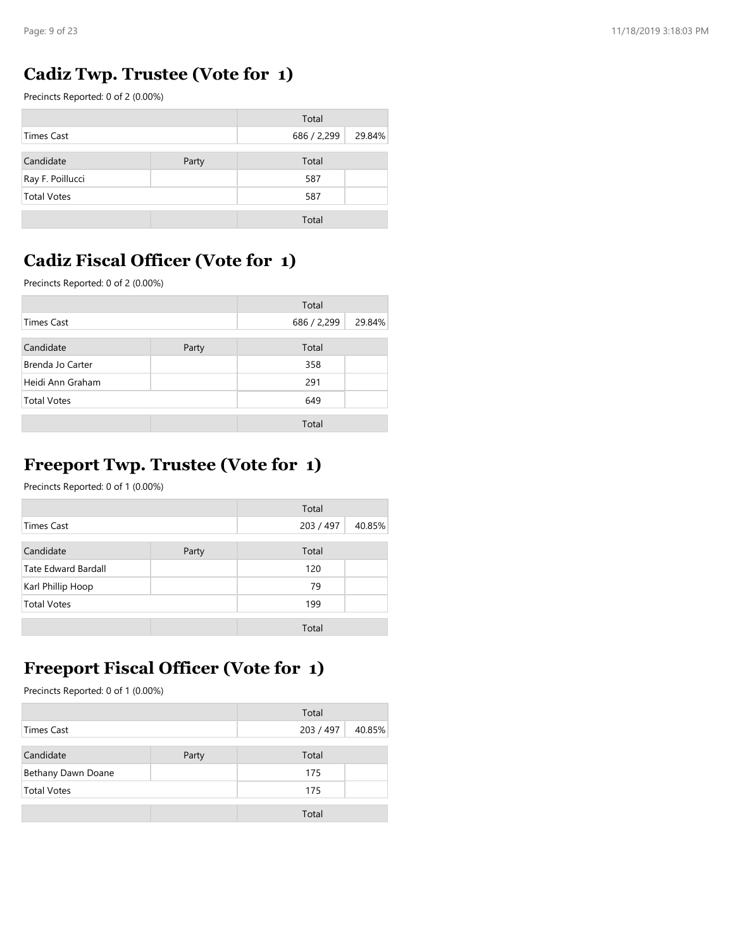#### Cadiz Twp. Trustee (Vote for 1)

| Page: 9 of 23<br>Cadiz Twp. Trustee (Vote for 1)<br>Precincts Reported: 0 of 2 (0.00%)<br><b>Times Cast</b> | Total       |        |
|-------------------------------------------------------------------------------------------------------------|-------------|--------|
|                                                                                                             |             |        |
|                                                                                                             |             |        |
|                                                                                                             |             |        |
|                                                                                                             |             |        |
|                                                                                                             |             |        |
|                                                                                                             |             |        |
|                                                                                                             |             |        |
|                                                                                                             |             |        |
|                                                                                                             |             |        |
|                                                                                                             |             |        |
|                                                                                                             | 686 / 2,299 | 29.84% |
| Candidate<br>Party                                                                                          | Total       |        |
| Ray F. Poillucci                                                                                            | 587         |        |
| <b>Total Votes</b>                                                                                          | 587         |        |
|                                                                                                             | Total       |        |
|                                                                                                             |             |        |

## Cadiz Fiscal Officer (Vote for 1)

| Precincts Reported: 0 of 2 (0.00%)                                             |       |             |        |
|--------------------------------------------------------------------------------|-------|-------------|--------|
|                                                                                |       | Total       |        |
| <b>Times Cast</b>                                                              |       | 686 / 2,299 | 29.84% |
| Candidate                                                                      | Party | Total       |        |
| Ray F. Poillucci                                                               |       | 587         |        |
| <b>Total Votes</b>                                                             |       | 587         |        |
|                                                                                |       | Total       |        |
| <b>Cadiz Fiscal Officer (Vote for 1)</b><br>Precincts Reported: 0 of 2 (0.00%) |       |             |        |
|                                                                                |       | Total       |        |
| <b>Times Cast</b>                                                              |       | 686 / 2,299 | 29.84% |
| Candidate                                                                      | Party | Total       |        |
| Brenda Jo Carter                                                               |       | 358         |        |
|                                                                                |       | 291         |        |
| Heidi Ann Graham                                                               |       |             |        |
| <b>Total Votes</b>                                                             |       | 649         |        |
|                                                                                |       | Total       |        |
|                                                                                |       |             |        |

#### Freeport Twp. Trustee (Vote for 1)

|                                                                                   |       | Total       |        |
|-----------------------------------------------------------------------------------|-------|-------------|--------|
| <b>Times Cast</b>                                                                 |       | 686 / 2,299 | 29.84% |
|                                                                                   |       |             |        |
| Candidate                                                                         | Party | Total       |        |
| Brenda Jo Carter                                                                  |       | 358         |        |
| Heidi Ann Graham                                                                  |       | 291         |        |
| <b>Total Votes</b>                                                                |       | 649         |        |
|                                                                                   |       | Total       |        |
| <b>Freeport Twp. Trustee (Vote for 1)</b><br>Precincts Reported: 0 of 1 (0.00%)   |       |             |        |
|                                                                                   |       | Total       |        |
| <b>Times Cast</b>                                                                 |       | 203 / 497   | 40.85% |
| Candidate                                                                         | Party | Total       |        |
| Tate Edward Bardall                                                               |       | 120         |        |
| Karl Phillip Hoop                                                                 |       | 79          |        |
| <b>Total Votes</b>                                                                |       | 199         |        |
|                                                                                   |       | Total       |        |
| <b>Freeport Fiscal Officer (Vote for 1)</b><br>Precincts Reported: 0 of 1 (0.00%) |       |             |        |
|                                                                                   |       | Total       |        |
| <b>Times Cast</b>                                                                 |       | 203 / 497   | 40.85% |
| Candidate                                                                         | Party | Total       |        |
| Bethany Dawn Doane                                                                |       | 175         |        |
| <b>Total Votes</b>                                                                |       | 175         |        |
|                                                                                   |       | Total       |        |
|                                                                                   |       |             |        |
|                                                                                   |       |             |        |
|                                                                                   |       |             |        |

## Freeport Fiscal Officer (Vote for 1)

|                    |       | Total     |        |
|--------------------|-------|-----------|--------|
| Times Cast         |       | 203 / 497 | 40.85% |
| Candidate          | Party | Total     |        |
| Bethany Dawn Doane |       | 175       |        |
| <b>Total Votes</b> |       | 175       |        |
|                    |       | Total     |        |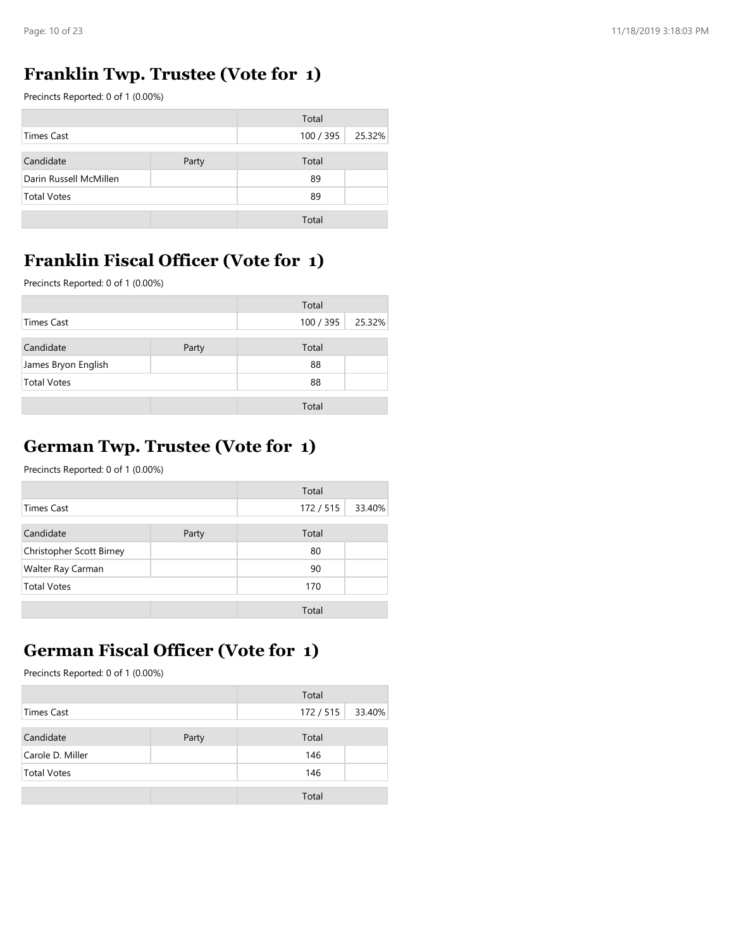## Franklin Twp. Trustee (Vote for 1)

| Page: 10 of 23                              |       |           |        |
|---------------------------------------------|-------|-----------|--------|
|                                             |       |           |        |
| <b>Franklin Twp. Trustee (Vote for 1)</b>   |       |           |        |
| Precincts Reported: 0 of 1 (0.00%)          |       |           |        |
|                                             |       | Total     |        |
| <b>Times Cast</b>                           |       | 100 / 395 | 25.32% |
| Candidate                                   | Party | Total     |        |
| Darin Russell McMillen                      |       | 89        |        |
| <b>Total Votes</b>                          |       | 89        |        |
|                                             |       | Total     |        |
|                                             |       |           |        |
| <b>Franklin Fiscal Officer (Vote for 1)</b> |       |           |        |
|                                             |       |           |        |
| Precincts Reported: 0 of 1 (0.00%)          |       |           |        |
|                                             |       | Total     |        |
|                                             |       |           |        |
| <b>Times Cast</b>                           |       | 100 / 395 | 25.32% |
| Candidate                                   | Party | Total     |        |
| James Bryon English                         |       | 88        |        |
| <b>Total Votes</b>                          |       | 88        |        |

## Franklin Fiscal Officer (Vote for 1)

|                     |       | Total     |        |
|---------------------|-------|-----------|--------|
| <b>Times Cast</b>   |       | 100 / 395 | 25.32% |
| Candidate           | Party | Total     |        |
| James Bryon English |       | 88        |        |
| <b>Total Votes</b>  |       | 88        |        |
|                     |       | Total     |        |

## German Twp. Trustee (Vote for 1)

| Precincts Reported: 0 of 1 (0.00%)                                              |       |           |        |
|---------------------------------------------------------------------------------|-------|-----------|--------|
|                                                                                 |       | Total     |        |
| <b>Times Cast</b>                                                               |       | 100 / 395 | 25.32% |
| Candidate                                                                       | Party | Total     |        |
| James Bryon English                                                             |       | 88        |        |
| <b>Total Votes</b>                                                              |       | 88        |        |
|                                                                                 |       | Total     |        |
| <b>German Twp. Trustee (Vote for 1)</b><br>Precincts Reported: 0 of 1 (0.00%)   |       |           |        |
|                                                                                 |       | Total     |        |
| <b>Times Cast</b>                                                               |       | 172 / 515 | 33.40% |
| Candidate                                                                       | Party | Total     |        |
| Christopher Scott Birney                                                        |       | 80        |        |
| Walter Ray Carman                                                               |       | 90        |        |
| <b>Total Votes</b>                                                              |       | 170       |        |
|                                                                                 |       | Total     |        |
| <b>German Fiscal Officer (Vote for 1)</b><br>Precincts Reported: 0 of 1 (0.00%) |       |           |        |
|                                                                                 |       | Total     |        |
| <b>Times Cast</b>                                                               |       | 172 / 515 | 33.40% |
| Candidate                                                                       | Party | Total     |        |
| Carole D. Miller                                                                |       | 146       |        |
| <b>Total Votes</b>                                                              |       | 146       |        |
|                                                                                 |       | Total     |        |
|                                                                                 |       |           |        |
|                                                                                 |       |           |        |

## German Fiscal Officer (Vote for 1)

|                    |       | Total   |        |
|--------------------|-------|---------|--------|
| <b>Times Cast</b>  |       | 172/515 | 33.40% |
| Candidate          | Party | Total   |        |
| Carole D. Miller   |       | 146     |        |
| <b>Total Votes</b> |       | 146     |        |
|                    |       | Total   |        |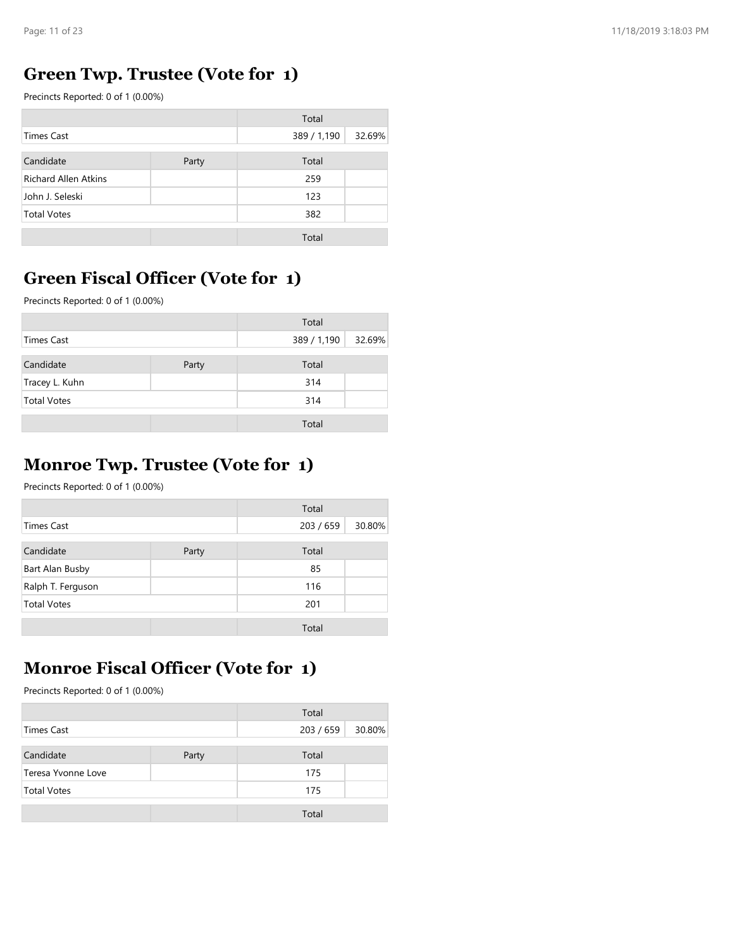## Green Twp. Trustee (Vote for 1)

| Page: 11 of 23                           |       |             |        |
|------------------------------------------|-------|-------------|--------|
|                                          |       |             |        |
| <b>Green Twp. Trustee (Vote for 1)</b>   |       |             |        |
| Precincts Reported: 0 of 1 (0.00%)       |       |             |        |
|                                          |       | Total       |        |
| <b>Times Cast</b>                        |       | 389 / 1,190 | 32.69% |
| Candidate                                | Party | Total       |        |
| Richard Allen Atkins                     |       | 259         |        |
| John J. Seleski                          |       | 123         |        |
| <b>Total Votes</b>                       |       | 382         |        |
|                                          |       | Total       |        |
|                                          |       |             |        |
| <b>Green Fiscal Officer (Vote for 1)</b> |       |             |        |
| Precincts Reported: 0 of 1 (0.00%)       |       |             |        |
|                                          |       | Total       |        |
| <b>Times Cast</b>                        |       | 389 / 1,190 | 32.69% |
|                                          |       |             |        |
|                                          |       | Total       |        |
| Candidate                                | Party |             |        |
| Tracey L. Kuhn                           |       | 314         |        |
| <b>Total Votes</b>                       |       | 314         |        |

## Green Fiscal Officer (Vote for 1)

|                    |       | Total       |        |
|--------------------|-------|-------------|--------|
| <b>Times Cast</b>  |       | 389 / 1,190 | 32.69% |
| Candidate          | Party | Total       |        |
| Tracey L. Kuhn     |       | 314         |        |
| <b>Total Votes</b> |       | 314         |        |
|                    |       | Total       |        |

#### Monroe Twp. Trustee (Vote for 1)

| Precincts Reported: 0 of 1 (0.00%)                                              |       |             |        |
|---------------------------------------------------------------------------------|-------|-------------|--------|
|                                                                                 |       | Total       |        |
| <b>Times Cast</b>                                                               |       | 389 / 1,190 | 32.69% |
| Candidate                                                                       | Party | Total       |        |
| Tracey L. Kuhn                                                                  |       | 314         |        |
| <b>Total Votes</b>                                                              |       | 314         |        |
|                                                                                 |       | Total       |        |
| <b>Monroe Twp. Trustee (Vote for 1)</b><br>Precincts Reported: 0 of 1 (0.00%)   |       |             |        |
|                                                                                 |       | Total       |        |
| <b>Times Cast</b>                                                               |       | 203 / 659   | 30.80% |
| Candidate                                                                       | Party | Total       |        |
| Bart Alan Busby                                                                 |       | 85          |        |
| Ralph T. Ferguson                                                               |       | 116         |        |
| <b>Total Votes</b>                                                              |       | 201         |        |
|                                                                                 |       | Total       |        |
| <b>Monroe Fiscal Officer (Vote for 1)</b><br>Precincts Reported: 0 of 1 (0.00%) |       |             |        |
|                                                                                 |       | Total       |        |
| <b>Times Cast</b>                                                               |       | 203 / 659   | 30.80% |
| Candidate                                                                       | Party | Total       |        |
| Teresa Yvonne Love                                                              |       | 175         |        |
| <b>Total Votes</b>                                                              |       | 175         |        |
|                                                                                 |       | Total       |        |
|                                                                                 |       |             |        |
|                                                                                 |       |             |        |
|                                                                                 |       |             |        |

## Monroe Fiscal Officer (Vote for 1)

|                    |       | Total     |        |
|--------------------|-------|-----------|--------|
| <b>Times Cast</b>  |       | 203 / 659 | 30.80% |
| Candidate          | Party | Total     |        |
| Teresa Yvonne Love |       | 175       |        |
| <b>Total Votes</b> |       | 175       |        |
|                    |       | Total     |        |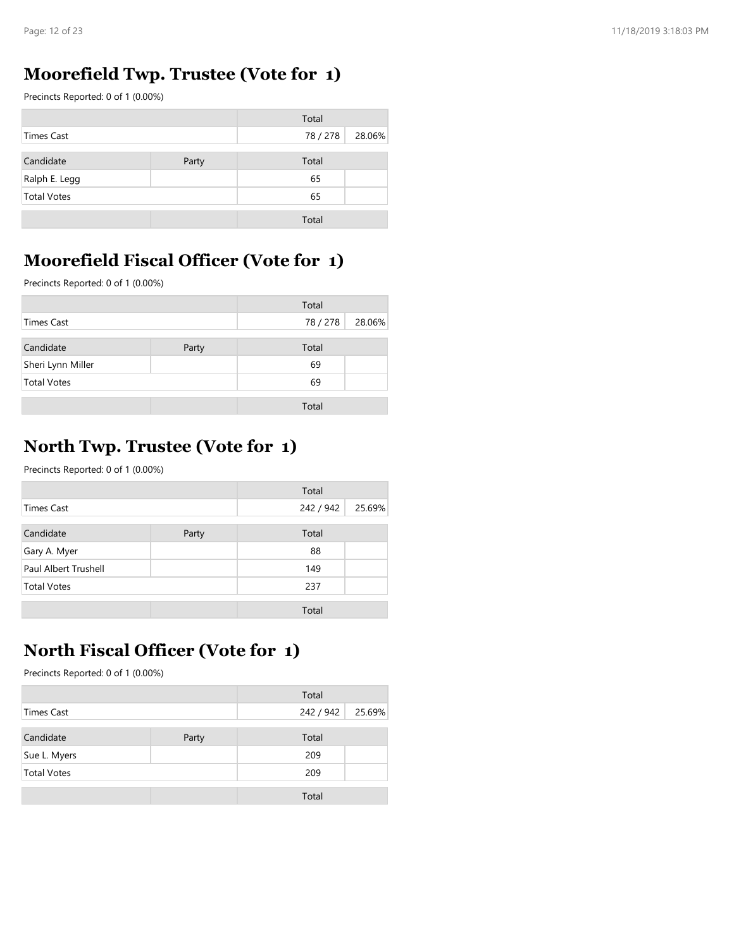## Moorefield Twp. Trustee (Vote for 1)

| Page: 12 of 23                     |                                        |          |        |
|------------------------------------|----------------------------------------|----------|--------|
|                                    | Moorefield Twp. Trustee (Vote for 1)   |          |        |
| Precincts Reported: 0 of 1 (0.00%) |                                        |          |        |
|                                    |                                        | Total    |        |
| <b>Times Cast</b>                  |                                        | 78 / 278 | 28.06% |
| Candidate                          | Party                                  | Total    |        |
| Ralph E. Legg                      |                                        | 65       |        |
| <b>Total Votes</b>                 |                                        | 65       |        |
|                                    |                                        | Total    |        |
|                                    |                                        |          |        |
|                                    | Moorefield Fiscal Officer (Vote for 1) |          |        |
|                                    |                                        |          |        |
| Precincts Reported: 0 of 1 (0.00%) |                                        |          |        |
|                                    |                                        | Total    |        |
|                                    |                                        | 78 / 278 | 28.06% |
| <b>Times Cast</b>                  |                                        |          |        |
| Candidate                          | Party                                  | Total    |        |
| Sheri Lynn Miller                  |                                        | 69       |        |
| <b>Total Votes</b>                 |                                        | 69       |        |

## Moorefield Fiscal Officer (Vote for 1)

|                    |       | Total    |        |
|--------------------|-------|----------|--------|
| <b>Times Cast</b>  |       | 78 / 278 | 28.06% |
| Candidate          | Party | Total    |        |
| Sheri Lynn Miller  |       | 69       |        |
| <b>Total Votes</b> |       | 69       |        |
|                    |       | Total    |        |

## North Twp. Trustee (Vote for 1)

| Precincts Reported: 0 of 1 (0.00%)                                      |       |           |        |
|-------------------------------------------------------------------------|-------|-----------|--------|
|                                                                         |       | Total     |        |
| <b>Times Cast</b>                                                       |       | 78 / 278  | 28.06% |
| Candidate                                                               | Party | Total     |        |
| Sheri Lynn Miller                                                       |       | 69        |        |
| <b>Total Votes</b>                                                      |       | 69        |        |
|                                                                         |       | Total     |        |
| North Twp. Trustee (Vote for 1)<br>Precincts Reported: 0 of 1 (0.00%)   |       | Total     |        |
| <b>Times Cast</b>                                                       |       | 242 / 942 | 25.69% |
|                                                                         |       |           |        |
| Candidate                                                               | Party | Total     |        |
| Gary A. Myer                                                            |       | 88        |        |
| Paul Albert Trushell                                                    |       | 149       |        |
| <b>Total Votes</b>                                                      |       | 237       |        |
|                                                                         |       | Total     |        |
| North Fiscal Officer (Vote for 1)<br>Precincts Reported: 0 of 1 (0.00%) |       | Total     |        |
|                                                                         |       |           | 25.69% |
|                                                                         |       |           |        |
| <b>Times Cast</b>                                                       |       | 242 / 942 |        |
| Candidate                                                               | Party | Total     |        |
| Sue L. Myers                                                            |       | 209       |        |
| <b>Total Votes</b>                                                      |       | 209       |        |

## North Fiscal Officer (Vote for 1)

|                    |       | Total     |        |
|--------------------|-------|-----------|--------|
| <b>Times Cast</b>  |       | 242 / 942 | 25.69% |
| Candidate          | Party | Total     |        |
| Sue L. Myers       |       | 209       |        |
| <b>Total Votes</b> |       | 209       |        |
|                    |       | Total     |        |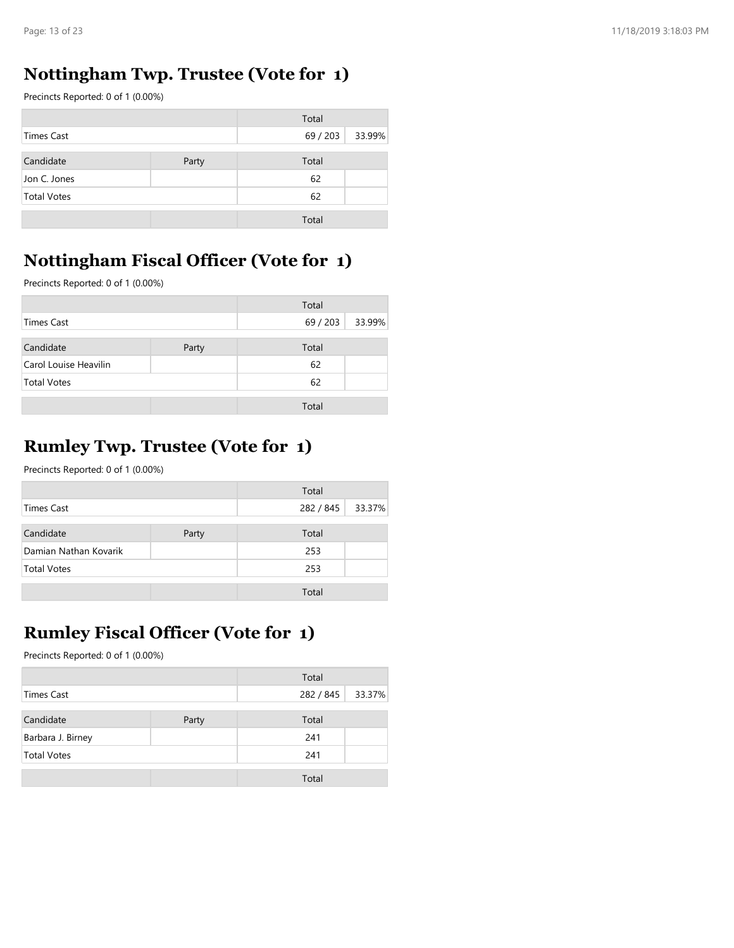## Nottingham Twp. Trustee (Vote for 1)

| Page: 13 of 23                     |                                               |          |        |
|------------------------------------|-----------------------------------------------|----------|--------|
|                                    |                                               |          |        |
|                                    | <b>Nottingham Twp. Trustee (Vote for 1)</b>   |          |        |
| Precincts Reported: 0 of 1 (0.00%) |                                               |          |        |
|                                    |                                               | Total    |        |
| <b>Times Cast</b>                  |                                               | 69 / 203 | 33.99% |
| Candidate                          | Party                                         | Total    |        |
| Jon C. Jones                       |                                               | 62       |        |
| <b>Total Votes</b>                 |                                               | 62       |        |
|                                    |                                               | Total    |        |
|                                    |                                               |          |        |
|                                    | <b>Nottingham Fiscal Officer (Vote for 1)</b> |          |        |
| Precincts Reported: 0 of 1 (0.00%) |                                               |          |        |
|                                    |                                               |          |        |
|                                    |                                               | Total    |        |
|                                    |                                               |          |        |
| <b>Times Cast</b>                  |                                               | 69 / 203 | 33.99% |
| Candidate                          | Party                                         | Total    |        |
| Carol Louise Heavilin              |                                               | 62       |        |
| <b>Total Votes</b>                 |                                               | 62       |        |

#### Nottingham Fiscal Officer (Vote for 1)

|                                         |       | Total     |        |
|-----------------------------------------|-------|-----------|--------|
| <b>Times Cast</b>                       |       | 69 / 203  | 33.99% |
| Candidate                               | Party | Total     |        |
| Carol Louise Heavilin                   |       | 62        |        |
| <b>Total Votes</b>                      |       | 62        |        |
|                                         |       |           |        |
| <b>Rumley Twp. Trustee (Vote for 1)</b> |       | Total     |        |
| Precincts Reported: 0 of 1 (0.00%)      |       | Total     |        |
| <b>Times Cast</b>                       |       | 282 / 845 | 33.37% |
| Candidate                               | Party | Total     |        |
| Damian Nathan Kovarik                   |       | 253       |        |
| <b>Total Votes</b>                      |       | 253       |        |

#### Rumley Twp. Trustee (Vote for 1)

|                       |       | Total     |        |
|-----------------------|-------|-----------|--------|
| <b>Times Cast</b>     |       | 282 / 845 | 33.37% |
| Candidate             | Party | Total     |        |
| Damian Nathan Kovarik |       | 253       |        |
| <b>Total Votes</b>    |       | 253       |        |
|                       |       | Total     |        |

## Rumley Fiscal Officer (Vote for 1)

| <b>Rumley Twp. Trustee (Vote for 1)</b>                                         |       |           |        |
|---------------------------------------------------------------------------------|-------|-----------|--------|
| Precincts Reported: 0 of 1 (0.00%)                                              |       |           |        |
|                                                                                 |       | Total     |        |
| <b>Times Cast</b>                                                               |       | 282 / 845 | 33.37% |
| Candidate                                                                       | Party | Total     |        |
| Damian Nathan Kovarik                                                           |       | 253       |        |
| <b>Total Votes</b>                                                              |       | 253       |        |
|                                                                                 |       | Total     |        |
| <b>Rumley Fiscal Officer (Vote for 1)</b><br>Precincts Reported: 0 of 1 (0.00%) |       |           |        |
|                                                                                 |       | Total     |        |
| <b>Times Cast</b>                                                               |       | 282 / 845 | 33.37% |
| Candidate                                                                       | Party | Total     |        |
| Barbara J. Birney                                                               |       | 241       |        |
| <b>Total Votes</b>                                                              |       | 241       |        |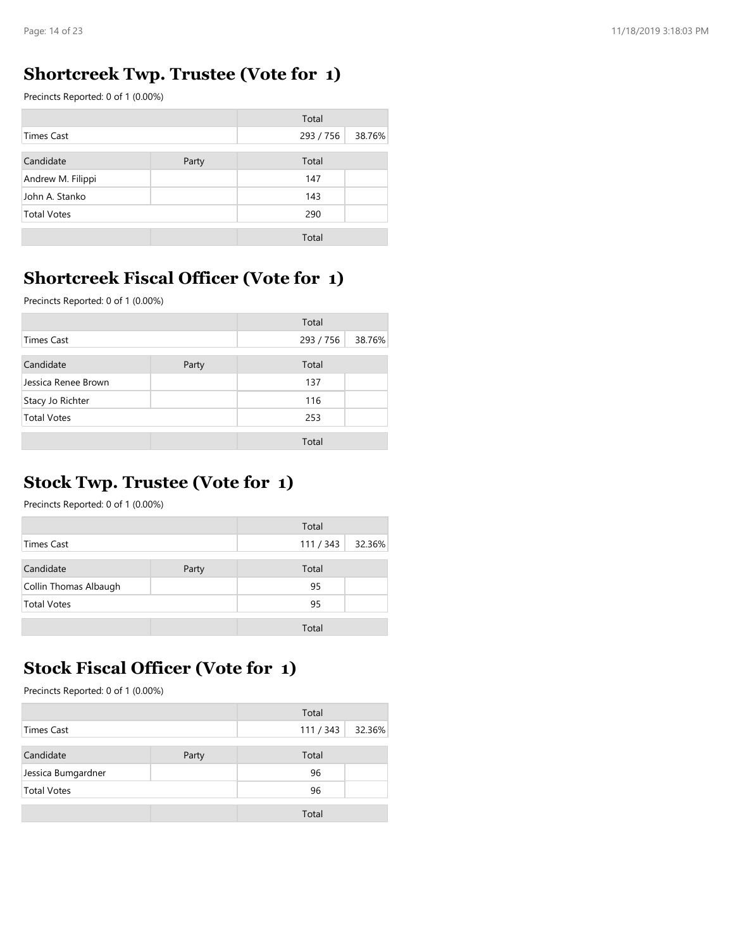#### Shortcreek Twp. Trustee (Vote for 1)

| Page: 14 of 23                     |                                             |           |        |
|------------------------------------|---------------------------------------------|-----------|--------|
|                                    |                                             |           |        |
|                                    |                                             |           |        |
|                                    | <b>Shortcreek Twp. Trustee (Vote for 1)</b> |           |        |
| Precincts Reported: 0 of 1 (0.00%) |                                             |           |        |
|                                    |                                             | Total     |        |
| <b>Times Cast</b>                  |                                             | 293 / 756 | 38.76% |
| Candidate                          | Party                                       | Total     |        |
|                                    |                                             | 147       |        |
| Andrew M. Filippi                  |                                             | 143       |        |
| John A. Stanko                     |                                             | 290       |        |
| <b>Total Votes</b>                 |                                             |           |        |
|                                    |                                             | Total     |        |
|                                    |                                             |           |        |
|                                    |                                             |           |        |

#### Shortcreek Fiscal Officer (Vote for 1)

|                                          | Total     |                                                                                                                                                                            |
|------------------------------------------|-----------|----------------------------------------------------------------------------------------------------------------------------------------------------------------------------|
|                                          | 293 / 756 | 38.76%                                                                                                                                                                     |
|                                          |           |                                                                                                                                                                            |
|                                          |           |                                                                                                                                                                            |
|                                          |           |                                                                                                                                                                            |
|                                          |           |                                                                                                                                                                            |
|                                          |           |                                                                                                                                                                            |
|                                          | Total     |                                                                                                                                                                            |
| Precincts Reported: 0 of 1 (0.00%)       |           |                                                                                                                                                                            |
|                                          |           |                                                                                                                                                                            |
|                                          |           | 38.76%                                                                                                                                                                     |
| Party                                    | Total     |                                                                                                                                                                            |
|                                          | 137       |                                                                                                                                                                            |
|                                          | 116       |                                                                                                                                                                            |
|                                          | 253       |                                                                                                                                                                            |
|                                          |           |                                                                                                                                                                            |
| Precincts Reported: 0 of 1 (0.00%)       |           |                                                                                                                                                                            |
|                                          |           |                                                                                                                                                                            |
|                                          |           | 32.36%                                                                                                                                                                     |
| Party                                    | Total     |                                                                                                                                                                            |
|                                          | 95        |                                                                                                                                                                            |
|                                          | 95        |                                                                                                                                                                            |
|                                          | Total     |                                                                                                                                                                            |
| <b>Stock Fiscal Officer (Vote for 1)</b> |           |                                                                                                                                                                            |
|                                          | Party     | Total<br>147<br>143<br>290<br><b>Shortcreek Fiscal Officer (Vote for 1)</b><br>Total<br>293 / 756<br>Total<br><b>Stock Twp. Trustee (Vote for 1)</b><br>Total<br>111 / 343 |

#### Stock Twp. Trustee (Vote for 1)

|                       |       | Total   |        |
|-----------------------|-------|---------|--------|
| <b>Times Cast</b>     |       | 111/343 | 32.36% |
| Candidate             | Party | Total   |        |
| Collin Thomas Albaugh |       | 95      |        |
| <b>Total Votes</b>    |       | 95      |        |
|                       |       | Total   |        |

## Stock Fiscal Officer (Vote for 1)

| Precincts Reported: 0 of 1 (0.00%)                                                                  |       |                    |        |
|-----------------------------------------------------------------------------------------------------|-------|--------------------|--------|
|                                                                                                     |       | Total              |        |
| <b>Times Cast</b>                                                                                   |       | 111 / 343          | 32.36% |
| Candidate                                                                                           | Party | Total              |        |
| Collin Thomas Albaugh                                                                               |       | 95                 |        |
| <b>Total Votes</b>                                                                                  |       | 95                 |        |
|                                                                                                     |       |                    |        |
|                                                                                                     |       | Total              |        |
| <b>Stock Fiscal Officer (Vote for 1)</b><br>Precincts Reported: 0 of 1 (0.00%)<br><b>Times Cast</b> |       | Total<br>111 / 343 | 32.36% |
|                                                                                                     |       | Total              |        |
| Candidate<br>Jessica Bumgardner                                                                     | Party | 96                 |        |
| <b>Total Votes</b>                                                                                  |       | 96                 |        |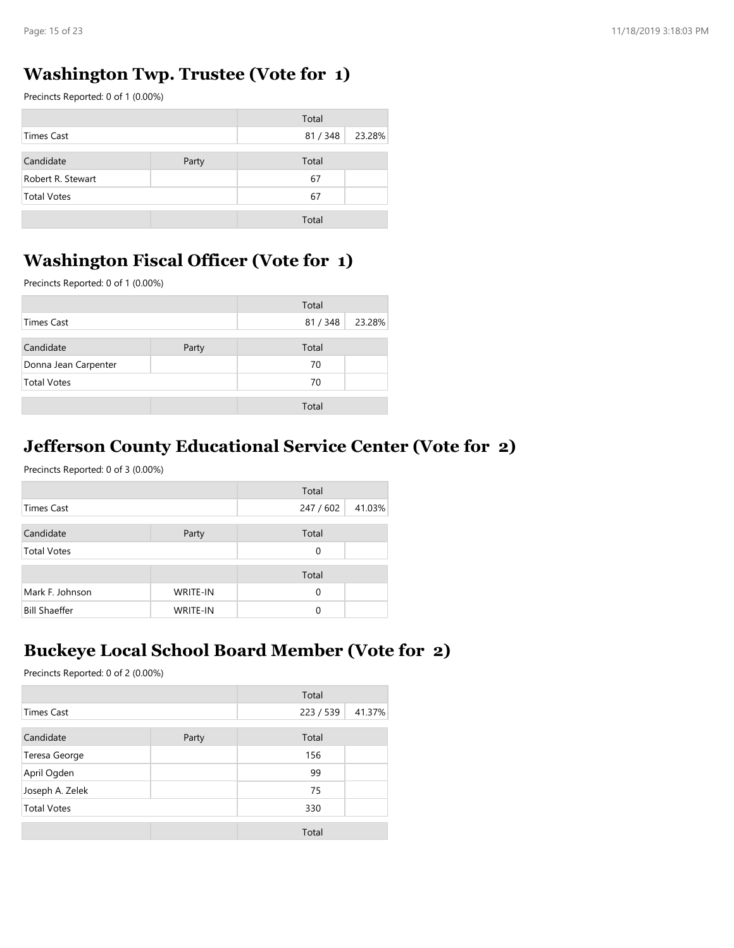## Washington Twp. Trustee (Vote for 1)

| Page: 15 of 23                                                                      |       |             |        |
|-------------------------------------------------------------------------------------|-------|-------------|--------|
|                                                                                     |       |             |        |
| <b>Washington Twp. Trustee (Vote for 1)</b><br>Precincts Reported: 0 of 1 (0.00%)   |       |             |        |
|                                                                                     |       | Total       |        |
| <b>Times Cast</b>                                                                   |       | 81 / 348    | 23.28% |
|                                                                                     |       |             |        |
| Candidate<br>Robert R. Stewart                                                      | Party | Total<br>67 |        |
| <b>Total Votes</b>                                                                  |       | 67          |        |
|                                                                                     |       |             |        |
|                                                                                     |       | Total       |        |
| <b>Washington Fiscal Officer (Vote for 1)</b><br>Precincts Reported: 0 of 1 (0.00%) |       |             |        |
|                                                                                     |       | Total       |        |
|                                                                                     |       | 81 / 348    | 23.28% |
| <b>Times Cast</b>                                                                   |       |             |        |
| Candidate                                                                           | Party | Total       |        |
| Donna Jean Carpenter                                                                |       | 70          |        |
| <b>Total Votes</b>                                                                  |       | 70          |        |

#### Washington Fiscal Officer (Vote for 1)

|                      |       | Total  |        |
|----------------------|-------|--------|--------|
| Times Cast           |       | 81/348 | 23.28% |
| Candidate            | Party | Total  |        |
| Donna Jean Carpenter |       | 70     |        |
| <b>Total Votes</b>   |       | 70     |        |
|                      |       | Total  |        |

#### Jefferson County Educational Service Center (Vote for 2)

|                                                                 |                      | Total     |        |
|-----------------------------------------------------------------|----------------------|-----------|--------|
| <b>Times Cast</b>                                               |                      | 81 / 348  | 23.28% |
| Candidate                                                       | Party                | Total     |        |
| Donna Jean Carpenter                                            |                      | 70        |        |
| <b>Total Votes</b>                                              |                      | 70        |        |
|                                                                 |                      | Total     |        |
| <b>Jefferson County Educational Service Center (Vote for 2)</b> |                      |           |        |
| Precincts Reported: 0 of 3 (0.00%)                              |                      | Total     |        |
| <b>Times Cast</b>                                               |                      | 247 / 602 | 41.03% |
| Candidate                                                       | Party                | Total     |        |
| <b>Total Votes</b>                                              |                      | 0         |        |
|                                                                 |                      | Total     |        |
| Mark F. Johnson<br><b>Bill Shaeffer</b>                         | WRITE-IN<br>WRITE-IN | 0<br>0    |        |

## Buckeye Local School Board Member (Vote for 2)

|                                                                                             |          | $\sim$              |        |
|---------------------------------------------------------------------------------------------|----------|---------------------|--------|
| <b>Times Cast</b>                                                                           |          | 247 / 602           | 41.03% |
| Candidate                                                                                   | Party    | Total               |        |
| <b>Total Votes</b>                                                                          |          | $\mathsf{O}\xspace$ |        |
|                                                                                             |          | Total               |        |
| Mark F. Johnson                                                                             | WRITE-IN | $\mathsf{O}\xspace$ |        |
| <b>Bill Shaeffer</b>                                                                        | WRITE-IN | $\mathbf 0$         |        |
| <b>Buckeye Local School Board Member (Vote for 2)</b><br>Precincts Reported: 0 of 2 (0.00%) |          |                     |        |
|                                                                                             |          | Total               |        |
| <b>Times Cast</b>                                                                           |          | 223 / 539           | 41.37% |
| Candidate                                                                                   | Party    | Total               |        |
| Teresa George                                                                               |          | 156                 |        |
| April Ogden                                                                                 |          | 99                  |        |
| Joseph A. Zelek                                                                             |          | 75                  |        |
| <b>Total Votes</b>                                                                          |          | 330                 |        |
|                                                                                             |          | Total               |        |
|                                                                                             |          |                     |        |
|                                                                                             |          |                     |        |
|                                                                                             |          |                     |        |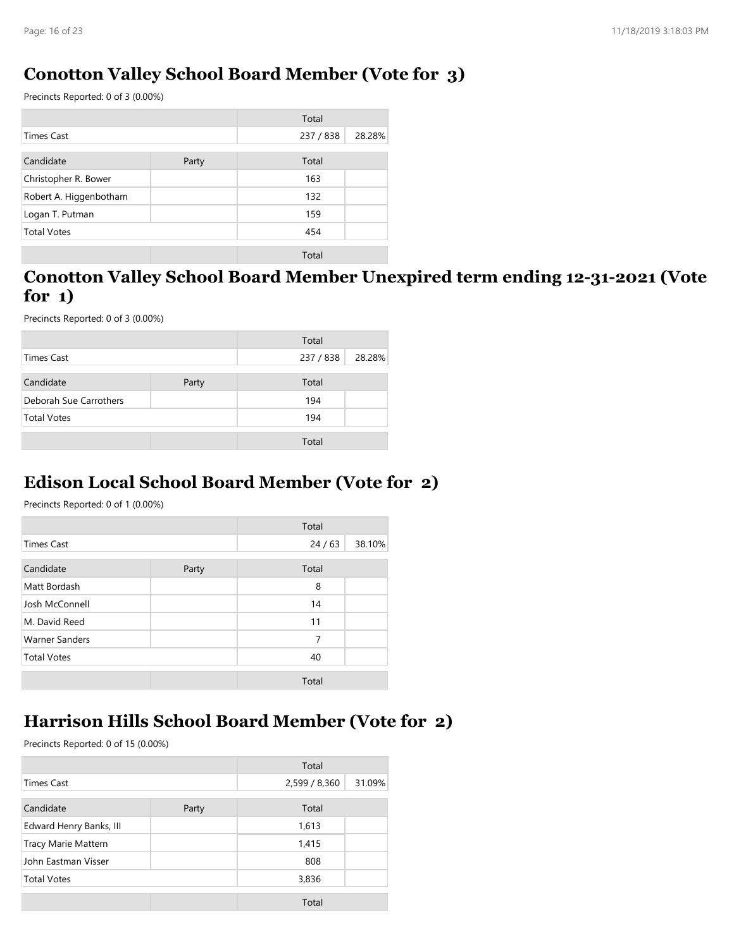#### Conotton Valley School Board Member (Vote for 3)

| Page: 16 of 23                                                            |       |           |        |
|---------------------------------------------------------------------------|-------|-----------|--------|
|                                                                           |       |           |        |
| <b>Conotton Valley School Board Member (Vote for 3)</b>                   |       |           |        |
| Precincts Reported: 0 of 3 (0.00%)                                        |       |           |        |
|                                                                           |       | Total     |        |
| <b>Times Cast</b>                                                         |       | 237 / 838 | 28.28% |
| Candidate                                                                 | Party | Total     |        |
| Christopher R. Bower                                                      |       | 163       |        |
| Robert A. Higgenbotham                                                    |       | 132       |        |
| Logan T. Putman                                                           |       | 159       |        |
| <b>Total Votes</b>                                                        |       | 454       |        |
|                                                                           |       | Total     |        |
| Conotton Valley School Board Member Unexpired term ending 12-31-2021 (Vot |       |           |        |
| for $1)$                                                                  |       |           |        |
|                                                                           |       |           |        |
| Precincts Reported: 0 of 3 (0.00%)                                        |       |           |        |
|                                                                           |       | Total     |        |
|                                                                           |       | 237 / 838 | 28.28% |
| <b>Times Cast</b>                                                         |       | Total     |        |
| Candidate                                                                 | Party |           |        |
| Deborah Sue Carrothers                                                    |       | 194       |        |
| <b>Total Votes</b>                                                        |       | 194       |        |

#### Conotton Valley School Board Member Unexpired term ending 12-31-2021 (Vote for 1)

|                        |       | Total     |        |
|------------------------|-------|-----------|--------|
| <b>Times Cast</b>      |       | 237 / 838 | 28.28% |
| Candidate              | Party | Total     |        |
| Deborah Sue Carrothers |       | 194       |        |
| <b>Total Votes</b>     |       | 194       |        |
|                        |       | Total     |        |

#### Edison Local School Board Member (Vote for 2)

## Harrison Hills School Board Member (Vote for 2)

| Candidate                                                                              | Party | Total          |        |
|----------------------------------------------------------------------------------------|-------|----------------|--------|
| Matt Bordash                                                                           |       | 8              |        |
| Josh McConnell                                                                         |       | 14             |        |
| M. David Reed                                                                          |       | 11             |        |
| <b>Warner Sanders</b>                                                                  |       | $\overline{7}$ |        |
| <b>Total Votes</b>                                                                     |       | 40             |        |
|                                                                                        |       | Total          |        |
| Harrison Hills School Board Member (Vote for 2)<br>Precincts Reported: 0 of 15 (0.00%) |       |                |        |
|                                                                                        |       | Total          |        |
| <b>Times Cast</b>                                                                      |       | 2,599 / 8,360  | 31.09% |
| Candidate                                                                              | Party | Total          |        |
| Edward Henry Banks, III                                                                |       | 1,613          |        |
| Tracy Marie Mattern                                                                    |       | 1,415          |        |
| John Eastman Visser                                                                    |       | 808            |        |
| <b>Total Votes</b>                                                                     |       | 3,836          |        |
|                                                                                        |       | Total          |        |
|                                                                                        |       |                |        |
|                                                                                        |       |                |        |
|                                                                                        |       |                |        |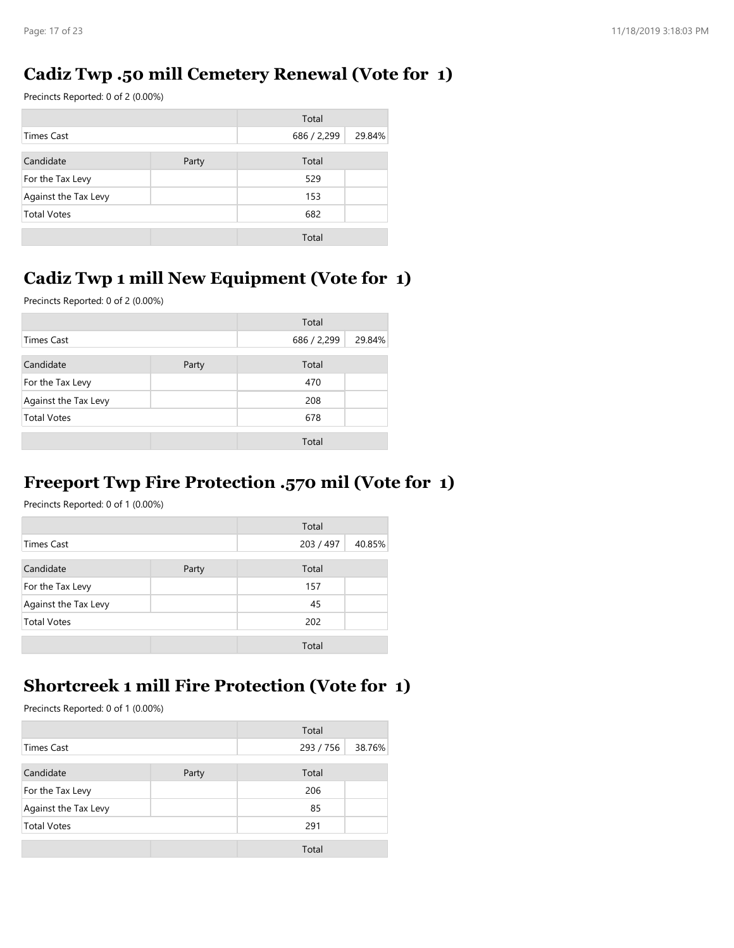## Cadiz Twp .50 mill Cemetery Renewal (Vote for 1)

| Page: 17 of 23                                   |       |             |        |
|--------------------------------------------------|-------|-------------|--------|
|                                                  |       |             |        |
| Cadiz Twp .50 mill Cemetery Renewal (Vote for 1) |       |             |        |
| Precincts Reported: 0 of 2 (0.00%)               |       |             |        |
|                                                  |       | Total       |        |
| <b>Times Cast</b>                                |       | 686 / 2,299 | 29.84% |
|                                                  | Party | Total       |        |
| Candidate                                        |       |             |        |
| For the Tax Levy                                 |       | 529         |        |
| Against the Tax Levy                             |       | 153         |        |
| <b>Total Votes</b>                               |       | 682         |        |

## Cadiz Twp 1 mill New Equipment (Vote for 1)

|                                                                                                 |       | Total       |        |
|-------------------------------------------------------------------------------------------------|-------|-------------|--------|
| <b>Times Cast</b>                                                                               |       | 686 / 2,299 | 29.84% |
| Candidate                                                                                       | Party | Total       |        |
| For the Tax Levy                                                                                |       | 529         |        |
| Against the Tax Levy                                                                            |       | 153         |        |
| <b>Total Votes</b>                                                                              |       | 682         |        |
|                                                                                                 |       | Total       |        |
| Cadiz Twp 1 mill New Equipment (Vote for 1)<br>Precincts Reported: 0 of 2 (0.00%)               |       |             |        |
|                                                                                                 |       | Total       |        |
| <b>Times Cast</b>                                                                               |       | 686 / 2,299 | 29.84% |
| Candidate                                                                                       | Party | Total       |        |
| For the Tax Levy                                                                                |       | 470         |        |
| Against the Tax Levy                                                                            |       | 208         |        |
| <b>Total Votes</b>                                                                              |       | 678         |        |
|                                                                                                 |       | Total       |        |
| <b>Freeport Twp Fire Protection .570 mil (Vote for 1)</b><br>Precincts Reported: 0 of 1 (0.00%) |       | Total       |        |
| <b>Times Cast</b>                                                                               |       | 203 / 497   | 40.85% |
| Candidate                                                                                       | Party | Total       |        |
| For the Tax Levy                                                                                |       | 157         |        |
| Against the Tax Levy                                                                            |       | 45          |        |
| <b>Total Votes</b>                                                                              |       | 202         |        |
|                                                                                                 |       | Total       |        |
| <b>Shortcreek 1 mill Fire Protection (Vote for 1)</b>                                           |       |             |        |

## Freeport Twp Fire Protection .570 mil (Vote for 1)

|                      |       | Total     |        |
|----------------------|-------|-----------|--------|
| Times Cast           |       | 203 / 497 | 40.85% |
| Candidate            | Party | Total     |        |
| For the Tax Levy     |       | 157       |        |
| Against the Tax Levy |       | 45        |        |
| <b>Total Votes</b>   |       | 202       |        |
|                      |       | Total     |        |

## Shortcreek 1 mill Fire Protection (Vote for 1)

|                                                       |       | Total     |        |
|-------------------------------------------------------|-------|-----------|--------|
| <b>Times Cast</b>                                     |       | 203 / 497 | 40.85% |
| Candidate                                             | Party | Total     |        |
| For the Tax Levy                                      |       | 157       |        |
| Against the Tax Levy                                  |       | 45        |        |
| <b>Total Votes</b>                                    |       | 202       |        |
|                                                       |       | Total     |        |
|                                                       |       |           |        |
| <b>Shortcreek 1 mill Fire Protection (Vote for 1)</b> |       |           |        |
|                                                       |       |           |        |
| Precincts Reported: 0 of 1 (0.00%)                    |       |           |        |
|                                                       |       | Total     |        |
| <b>Times Cast</b>                                     |       | 293 / 756 | 38.76% |
| Candidate                                             | Party | Total     |        |
| For the Tax Levy                                      |       | 206       |        |
| Against the Tax Levy                                  |       | 85        |        |
| <b>Total Votes</b>                                    |       | 291       |        |
|                                                       |       | Total     |        |
|                                                       |       |           |        |
|                                                       |       |           |        |
|                                                       |       |           |        |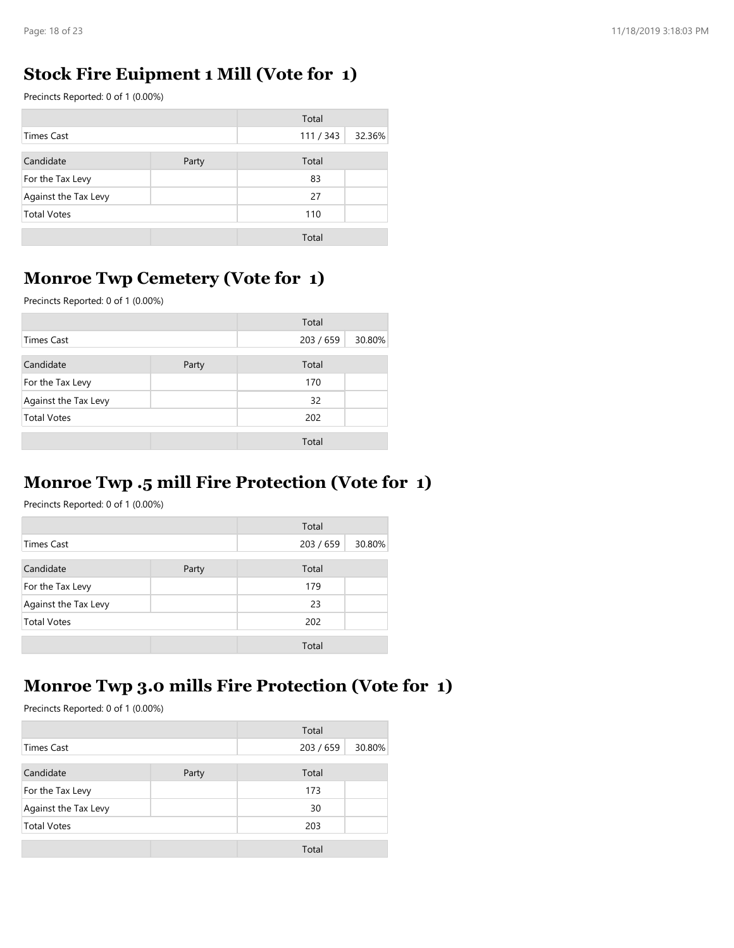## Stock Fire Euipment 1 Mill (Vote for 1)

| Page: 18 of 23                                 |       |           |        |
|------------------------------------------------|-------|-----------|--------|
|                                                |       |           |        |
| <b>Stock Fire Euipment 1 Mill (Vote for 1)</b> |       |           |        |
| Precincts Reported: 0 of 1 (0.00%)             |       |           |        |
|                                                |       | Total     |        |
| <b>Times Cast</b>                              |       | 111 / 343 | 32.36% |
| Candidate                                      | Party | Total     |        |
| For the Tax Levy                               |       | 83        |        |
| Against the Tax Levy                           |       | 27        |        |
| <b>Total Votes</b>                             |       | 110       |        |
|                                                |       | Total     |        |
|                                                |       |           |        |
| <b>Monroe Twp Cemetery (Vote for 1)</b>        |       |           |        |

## Monroe Twp Cemetery (Vote for 1)

|                                                                                             |       | Total        |        |
|---------------------------------------------------------------------------------------------|-------|--------------|--------|
| <b>Times Cast</b>                                                                           |       | 111 / 343    | 32.36% |
| Candidate                                                                                   | Party | Total        |        |
| For the Tax Levy                                                                            |       | 83           |        |
| Against the Tax Levy                                                                        |       | 27           |        |
| <b>Total Votes</b>                                                                          |       | 110          |        |
|                                                                                             |       |              |        |
|                                                                                             |       | Total        |        |
| <b>Monroe Twp Cemetery (Vote for 1)</b><br>Precincts Reported: 0 of 1 (0.00%)               |       |              |        |
|                                                                                             |       | Total        |        |
| <b>Times Cast</b>                                                                           |       | 203 / 659    | 30.80% |
|                                                                                             |       |              |        |
| Candidate                                                                                   | Party | Total        |        |
|                                                                                             |       |              |        |
| For the Tax Levy                                                                            |       | 170          |        |
| Against the Tax Levy                                                                        |       | 32           |        |
| <b>Total Votes</b>                                                                          |       | 202          |        |
|                                                                                             |       | Total        |        |
| <b>Monroe Twp.5 mill Fire Protection (Vote for 1)</b><br>Precincts Reported: 0 of 1 (0.00%) |       | Total        |        |
| <b>Times Cast</b>                                                                           |       | 203 / 659    | 30.80% |
|                                                                                             |       |              |        |
| Candidate                                                                                   | Party | Total        |        |
| For the Tax Levy                                                                            |       | 179          |        |
| Against the Tax Levy                                                                        |       | 23           |        |
| <b>Total Votes</b>                                                                          |       | 202<br>Total |        |

#### Monroe Twp .5 mill Fire Protection (Vote for 1)

|                      |       | Total     |        |
|----------------------|-------|-----------|--------|
| <b>Times Cast</b>    |       | 203 / 659 | 30.80% |
| Candidate            | Party | Total     |        |
| For the Tax Levy     |       | 179       |        |
| Against the Tax Levy |       | 23        |        |
| <b>Total Votes</b>   |       | 202       |        |
|                      |       | Total     |        |

## Monroe Twp 3.0 mills Fire Protection (Vote for 1)

|                                                   |       | Total     |        |
|---------------------------------------------------|-------|-----------|--------|
| <b>Times Cast</b>                                 |       | 203 / 659 | 30.80% |
| Candidate                                         | Party | Total     |        |
| For the Tax Levy                                  |       | 179       |        |
| Against the Tax Levy                              |       | 23        |        |
| <b>Total Votes</b>                                |       | 202       |        |
|                                                   |       | Total     |        |
|                                                   |       |           |        |
| Monroe Twp 3.0 mills Fire Protection (Vote for 1) |       |           |        |
| Precincts Reported: 0 of 1 (0.00%)                |       |           |        |
|                                                   |       |           |        |
|                                                   |       | Total     |        |
| <b>Times Cast</b>                                 |       | 203 / 659 | 30.80% |
| Candidate                                         | Party | Total     |        |
| For the Tax Levy                                  |       | 173       |        |
| Against the Tax Levy                              |       | 30        |        |
| <b>Total Votes</b>                                |       | 203       |        |
|                                                   |       | Total     |        |
|                                                   |       |           |        |
|                                                   |       |           |        |
|                                                   |       |           |        |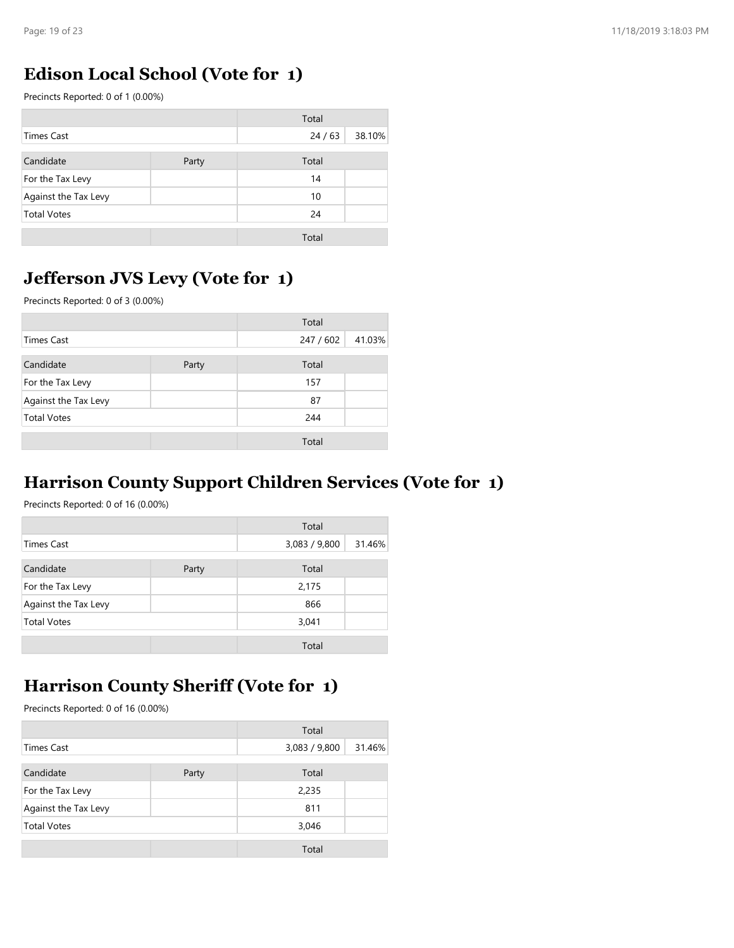### Edison Local School (Vote for 1)

| Page: 19 of 23                          |       |         |        |
|-----------------------------------------|-------|---------|--------|
|                                         |       |         |        |
| <b>Edison Local School (Vote for 1)</b> |       |         |        |
| Precincts Reported: 0 of 1 (0.00%)      |       |         |        |
|                                         |       | Total   |        |
| <b>Times Cast</b>                       |       | $24/63$ | 38.10% |
| Candidate                               | Party | Total   |        |
| For the Tax Levy                        |       | 14      |        |
| Against the Tax Levy                    |       | 10      |        |
| <b>Total Votes</b>                      |       | 24      |        |
|                                         |       | Total   |        |
|                                         |       |         |        |
| Jefferson JVS Levy (Vote for 1)         |       |         |        |

## Jefferson JVS Levy (Vote for 1)

|                                                                                                                           |       | Total                  |        |
|---------------------------------------------------------------------------------------------------------------------------|-------|------------------------|--------|
| <b>Times Cast</b>                                                                                                         |       | 24/63                  | 38.10% |
| Candidate                                                                                                                 | Party | Total                  |        |
| For the Tax Levy                                                                                                          |       | 14                     |        |
| Against the Tax Levy                                                                                                      |       | 10                     |        |
| <b>Total Votes</b>                                                                                                        |       | 24                     |        |
|                                                                                                                           |       | Total                  |        |
| <b>Jefferson JVS Levy (Vote for 1)</b><br>Precincts Reported: 0 of 3 (0.00%)                                              |       |                        |        |
|                                                                                                                           |       | Total                  |        |
| <b>Times Cast</b>                                                                                                         |       | 247 / 602              | 41.03% |
|                                                                                                                           |       |                        |        |
| Candidate                                                                                                                 | Party | Total                  |        |
| For the Tax Levy                                                                                                          |       | 157                    |        |
| Against the Tax Levy                                                                                                      |       | 87                     |        |
| <b>Total Votes</b>                                                                                                        |       | 244                    |        |
|                                                                                                                           |       | Total                  |        |
| <b>Harrison County Support Children Services (Vote for 1)</b><br>Precincts Reported: 0 of 16 (0.00%)<br><b>Times Cast</b> |       | Total<br>3,083 / 9,800 | 31.46% |
| Candidate                                                                                                                 | Party | Total                  |        |
| For the Tax Levy                                                                                                          |       | 2,175                  |        |
| Against the Tax Levy                                                                                                      |       | 866                    |        |
| <b>Total Votes</b>                                                                                                        |       | 3,041                  |        |
|                                                                                                                           |       | Total                  |        |
| <b>Harrison County Sheriff (Vote for 1)</b>                                                                               |       |                        |        |

#### Harrison County Support Children Services (Vote for 1)

|                      |       | Total         |        |
|----------------------|-------|---------------|--------|
| <b>Times Cast</b>    |       | 3,083 / 9,800 | 31.46% |
| Candidate            | Party | Total         |        |
| For the Tax Levy     |       | 2,175         |        |
| Against the Tax Levy |       | 866           |        |
| <b>Total Votes</b>   |       | 3,041         |        |
|                      |       | Total         |        |

## Harrison County Sheriff (Vote for 1)

|                                                                                    |       | Total         |        |
|------------------------------------------------------------------------------------|-------|---------------|--------|
| <b>Times Cast</b>                                                                  |       | 3,083 / 9,800 | 31.46% |
| Candidate                                                                          | Party | Total         |        |
| For the Tax Levy                                                                   |       | 2,175         |        |
| Against the Tax Levy                                                               |       | 866           |        |
| <b>Total Votes</b>                                                                 |       | 3,041         |        |
|                                                                                    |       | Total         |        |
|                                                                                    |       |               |        |
| <b>Harrison County Sheriff (Vote for 1)</b><br>Precincts Reported: 0 of 16 (0.00%) |       |               |        |
|                                                                                    |       | Total         |        |
| <b>Times Cast</b>                                                                  |       | 3,083 / 9,800 | 31.46% |
| Candidate                                                                          | Party | Total         |        |
| For the Tax Levy                                                                   |       | 2,235         |        |
| Against the Tax Levy                                                               |       | 811           |        |
| <b>Total Votes</b>                                                                 |       | 3,046         |        |
|                                                                                    |       | Total         |        |
|                                                                                    |       |               |        |
|                                                                                    |       |               |        |
|                                                                                    |       |               |        |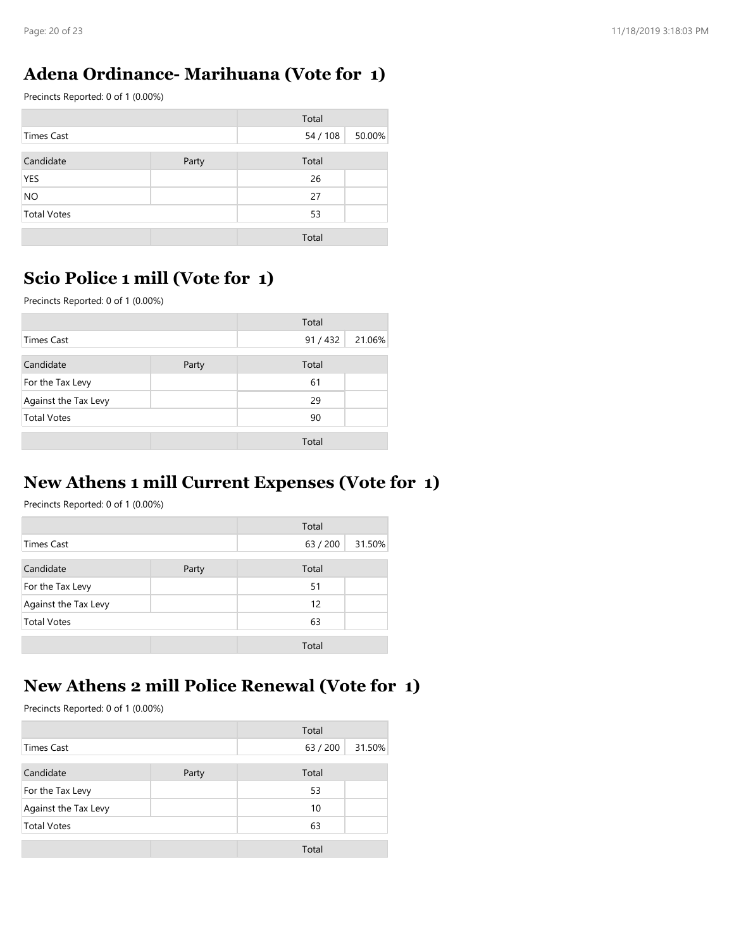### Adena Ordinance- Marihuana (Vote for 1)

| Page: 20 of 23                     |                                        |          |        |
|------------------------------------|----------------------------------------|----------|--------|
|                                    |                                        |          |        |
|                                    | Adena Ordinance-Marihuana (Vote for 1) |          |        |
| Precincts Reported: 0 of 1 (0.00%) |                                        |          |        |
|                                    |                                        | Total    |        |
| <b>Times Cast</b>                  |                                        | 54 / 108 | 50.00% |
| Candidate                          | Party                                  | Total    |        |
| <b>YES</b>                         |                                        | 26       |        |
| <b>NO</b>                          |                                        | 27       |        |
|                                    |                                        | 53       |        |
| <b>Total Votes</b>                 |                                        |          |        |
|                                    |                                        | Total    |        |
|                                    | Scio Police 1 mill (Vote for 1)        |          |        |

## Scio Police 1 mill (Vote for 1)

|                                                                                                            |       | Total             |        |
|------------------------------------------------------------------------------------------------------------|-------|-------------------|--------|
| <b>Times Cast</b>                                                                                          |       | 54 / 108          | 50.00% |
| Candidate                                                                                                  | Party | Total             |        |
| <b>YES</b>                                                                                                 |       | 26                |        |
| <b>NO</b>                                                                                                  |       | 27                |        |
| <b>Total Votes</b>                                                                                         |       | 53                |        |
|                                                                                                            |       | Total             |        |
| Scio Police 1 mill (Vote for 1)<br>Precincts Reported: 0 of 1 (0.00%)                                      |       |                   |        |
|                                                                                                            |       | Total             |        |
| <b>Times Cast</b>                                                                                          |       | 91 / 432          | 21.06% |
|                                                                                                            |       |                   |        |
| Candidate                                                                                                  | Party | Total             |        |
| For the Tax Levy                                                                                           |       | 61                |        |
| Against the Tax Levy                                                                                       |       | 29                |        |
| <b>Total Votes</b>                                                                                         |       | 90                |        |
|                                                                                                            |       | Total             |        |
| New Athens 1 mill Current Expenses (Vote for 1)<br>Precincts Reported: 0 of 1 (0.00%)<br><b>Times Cast</b> |       | Total<br>63 / 200 | 31.50% |
|                                                                                                            |       |                   |        |
| Candidate                                                                                                  | Party | Total             |        |
| For the Tax Levy                                                                                           |       | 51                |        |
| Against the Tax Levy                                                                                       |       | 12                |        |
| <b>Total Votes</b>                                                                                         |       | 63                |        |
|                                                                                                            |       | Total             |        |
|                                                                                                            |       |                   |        |
| New Athens 2 mill Police Renewal (Vote for 1)                                                              |       |                   |        |
|                                                                                                            |       |                   |        |

#### New Athens 1 mill Current Expenses (Vote for 1)

|                      |       | Total    |        |
|----------------------|-------|----------|--------|
| <b>Times Cast</b>    |       | 63 / 200 | 31.50% |
| Candidate            | Party | Total    |        |
| For the Tax Levy     |       | 51       |        |
| Against the Tax Levy |       | 12       |        |
| <b>Total Votes</b>   |       | 63       |        |
|                      |       | Total    |        |

## New Athens 2 mill Police Renewal (Vote for 1)

|                                               |       | Total             |        |
|-----------------------------------------------|-------|-------------------|--------|
| <b>Times Cast</b>                             |       | 63 / 200          | 31.50% |
| Candidate                                     | Party | Total             |        |
| For the Tax Levy                              |       | 51                |        |
| Against the Tax Levy                          |       | 12                |        |
| <b>Total Votes</b>                            |       | 63                |        |
|                                               |       | Total             |        |
|                                               |       |                   |        |
|                                               |       |                   |        |
| New Athens 2 mill Police Renewal (Vote for 1) |       |                   |        |
| Precincts Reported: 0 of 1 (0.00%)            |       |                   |        |
|                                               |       |                   |        |
| <b>Times Cast</b>                             |       | Total<br>63 / 200 | 31.50% |
| Candidate                                     |       | Total             |        |
| For the Tax Levy                              | Party | 53                |        |
| Against the Tax Levy                          |       | 10                |        |
| <b>Total Votes</b>                            |       | 63                |        |
|                                               |       | Total             |        |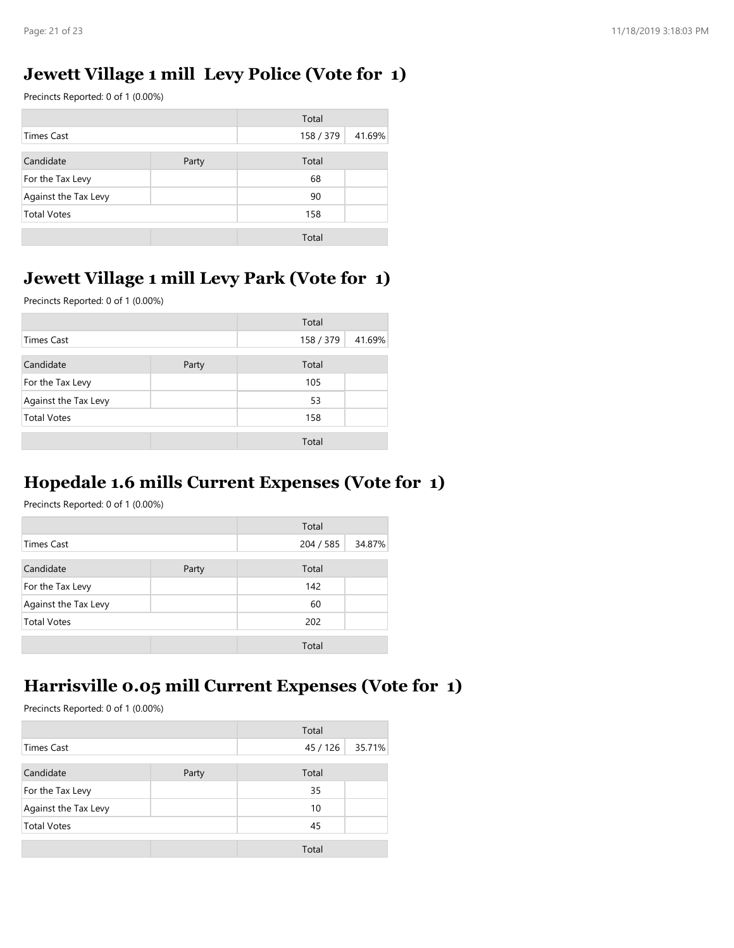## Jewett Village 1 mill Levy Police (Vote for 1)

| Page: 21 of 23                                 |       |           |        |
|------------------------------------------------|-------|-----------|--------|
|                                                |       |           |        |
| Jewett Village 1 mill Levy Police (Vote for 1) |       |           |        |
|                                                |       |           |        |
| Precincts Reported: 0 of 1 (0.00%)             |       |           |        |
|                                                |       | Total     |        |
| <b>Times Cast</b>                              |       | 158 / 379 | 41.69% |
| Candidate                                      | Party | Total     |        |
| For the Tax Levy                               |       | 68        |        |
| Against the Tax Levy                           |       | 90        |        |
| <b>Total Votes</b>                             |       | 158       |        |
|                                                |       | Total     |        |
|                                                |       |           |        |
| Jewett Village 1 mill Levy Park (Vote for 1)   |       |           |        |

## Jewett Village 1 mill Levy Park (Vote for 1)

## Hopedale 1.6 mills Current Expenses (Vote for 1)

|                      |       | Total     |        |
|----------------------|-------|-----------|--------|
| Times Cast           |       | 204 / 585 | 34.87% |
| Candidate            | Party | Total     |        |
| For the Tax Levy     |       | 142       |        |
| Against the Tax Levy |       | 60        |        |
| <b>Total Votes</b>   |       | 202       |        |
|                      |       | Total     |        |

## Harrisville 0.05 mill Current Expenses (Vote for 1)

|                                                                                           |       | Total     |        |
|-------------------------------------------------------------------------------------------|-------|-----------|--------|
| <b>Times Cast</b>                                                                         |       | 204 / 585 | 34.87% |
| Candidate                                                                                 | Party | Total     |        |
| For the Tax Levy                                                                          |       | 142       |        |
| Against the Tax Levy                                                                      |       | 60        |        |
| <b>Total Votes</b>                                                                        |       | 202       |        |
|                                                                                           |       | Total     |        |
|                                                                                           |       |           |        |
| Harrisville 0.05 mill Current Expenses (Vote for 1)<br>Precincts Reported: 0 of 1 (0.00%) |       | Total     |        |
| <b>Times Cast</b>                                                                         |       | 45 / 126  | 35.71% |
| Candidate                                                                                 | Party | Total     |        |
| For the Tax Levy                                                                          |       | 35        |        |
| Against the Tax Levy                                                                      |       | 10        |        |
| <b>Total Votes</b>                                                                        |       | 45        |        |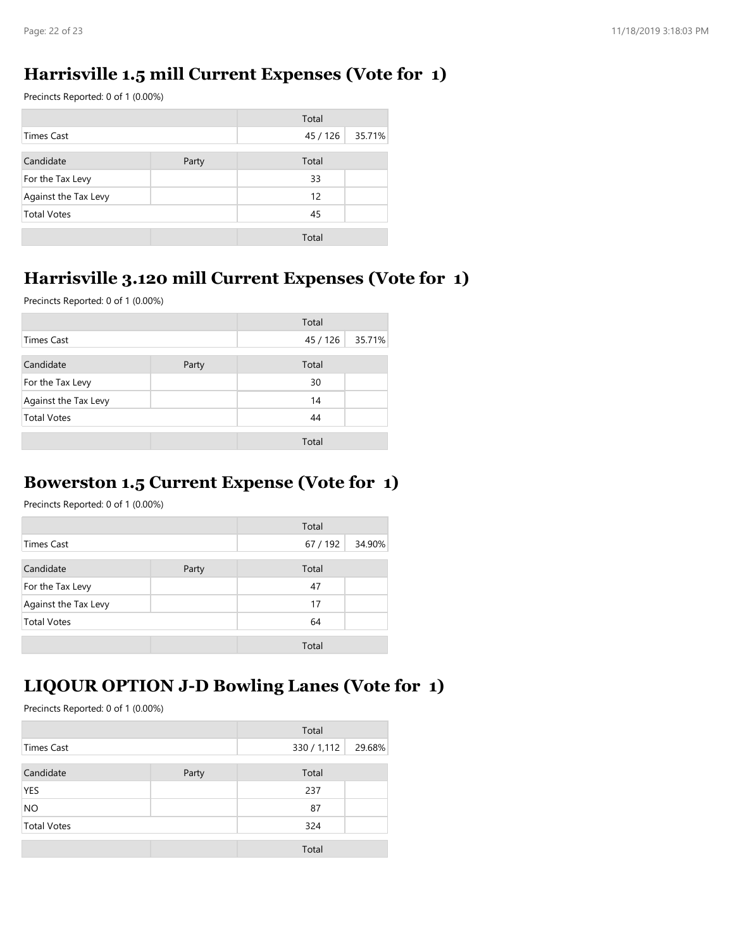#### Harrisville 1.5 mill Current Expenses (Vote for 1)

| Page: 22 of 23                                     |       |          |        |
|----------------------------------------------------|-------|----------|--------|
|                                                    |       |          |        |
|                                                    |       |          |        |
| Harrisville 1.5 mill Current Expenses (Vote for 1) |       |          |        |
| Precincts Reported: 0 of 1 (0.00%)                 |       |          |        |
|                                                    |       | Total    |        |
| <b>Times Cast</b>                                  |       | 45 / 126 | 35.71% |
| Candidate                                          | Party | Total    |        |
| For the Tax Levy                                   |       | 33       |        |
| Against the Tax Levy                               |       | 12       |        |
| <b>Total Votes</b>                                 |       | 45       |        |

## Harrisville 3.120 mill Current Expenses (Vote for 1)

| <b>Times Cast</b>                                                                          |       | Total<br>45 / 126 | 35.71% |
|--------------------------------------------------------------------------------------------|-------|-------------------|--------|
| Candidate                                                                                  |       | Total             |        |
| For the Tax Levy                                                                           | Party | 33                |        |
|                                                                                            |       | 12                |        |
| Against the Tax Levy<br><b>Total Votes</b>                                                 |       | 45                |        |
|                                                                                            |       |                   |        |
|                                                                                            |       | Total             |        |
| Harrisville 3.120 mill Current Expenses (Vote for 1)<br>Precincts Reported: 0 of 1 (0.00%) |       |                   |        |
|                                                                                            |       | Total             |        |
| <b>Times Cast</b>                                                                          |       | 45 / 126          | 35.71% |
| Candidate                                                                                  | Party | Total             |        |
|                                                                                            |       |                   |        |
| For the Tax Levy                                                                           |       | 30                |        |
| Against the Tax Levy                                                                       |       | 14                |        |
| <b>Total Votes</b>                                                                         |       | 44                |        |
|                                                                                            |       | Total             |        |
|                                                                                            |       |                   |        |
| <b>Bowerston 1.5 Current Expense (Vote for 1)</b>                                          |       |                   |        |
| Precincts Reported: 0 of 1 (0.00%)                                                         |       |                   |        |
|                                                                                            |       | Total             |        |
| <b>Times Cast</b>                                                                          |       | 67 / 192          | 34.90% |
| Candidate                                                                                  | Party | Total             |        |
| For the Tax Levy                                                                           |       | 47                |        |
| Against the Tax Levy                                                                       |       | 17                |        |
| <b>Total Votes</b>                                                                         |       | 64                |        |
|                                                                                            |       | Total             |        |

#### Bowerston 1.5 Current Expense (Vote for 1)

|                      |       | Total    |        |
|----------------------|-------|----------|--------|
| <b>Times Cast</b>    |       | 67 / 192 | 34.90% |
| Candidate            | Party | Total    |        |
| For the Tax Levy     |       | 47       |        |
| Against the Tax Levy |       | 17       |        |
| <b>Total Votes</b>   |       | 64       |        |
|                      |       | Total    |        |

## LIQOUR OPTION J-D Bowling Lanes (Vote for 1)

|                                    |                                                     | Total                |        |
|------------------------------------|-----------------------------------------------------|----------------------|--------|
| <b>Times Cast</b>                  |                                                     | 67 / 192             | 34.90% |
| Candidate                          | Party                                               | Total                |        |
| For the Tax Levy                   |                                                     | 47                   |        |
| Against the Tax Levy               |                                                     | 17                   |        |
| <b>Total Votes</b>                 |                                                     | 64                   |        |
|                                    |                                                     | Total                |        |
|                                    |                                                     |                      |        |
|                                    | <b>LIQOUR OPTION J-D Bowling Lanes (Vote for 1)</b> |                      |        |
| Precincts Reported: 0 of 1 (0.00%) |                                                     |                      |        |
|                                    |                                                     |                      |        |
| <b>Times Cast</b>                  |                                                     | Total<br>330 / 1,112 | 29.68% |
|                                    |                                                     |                      |        |
| Candidate                          | Party                                               | Total                |        |
| <b>YES</b>                         |                                                     | 237                  |        |
| <b>NO</b>                          |                                                     | 87                   |        |
| <b>Total Votes</b>                 |                                                     | 324                  |        |
|                                    |                                                     | Total                |        |
|                                    |                                                     |                      |        |
|                                    |                                                     |                      |        |
|                                    |                                                     |                      |        |